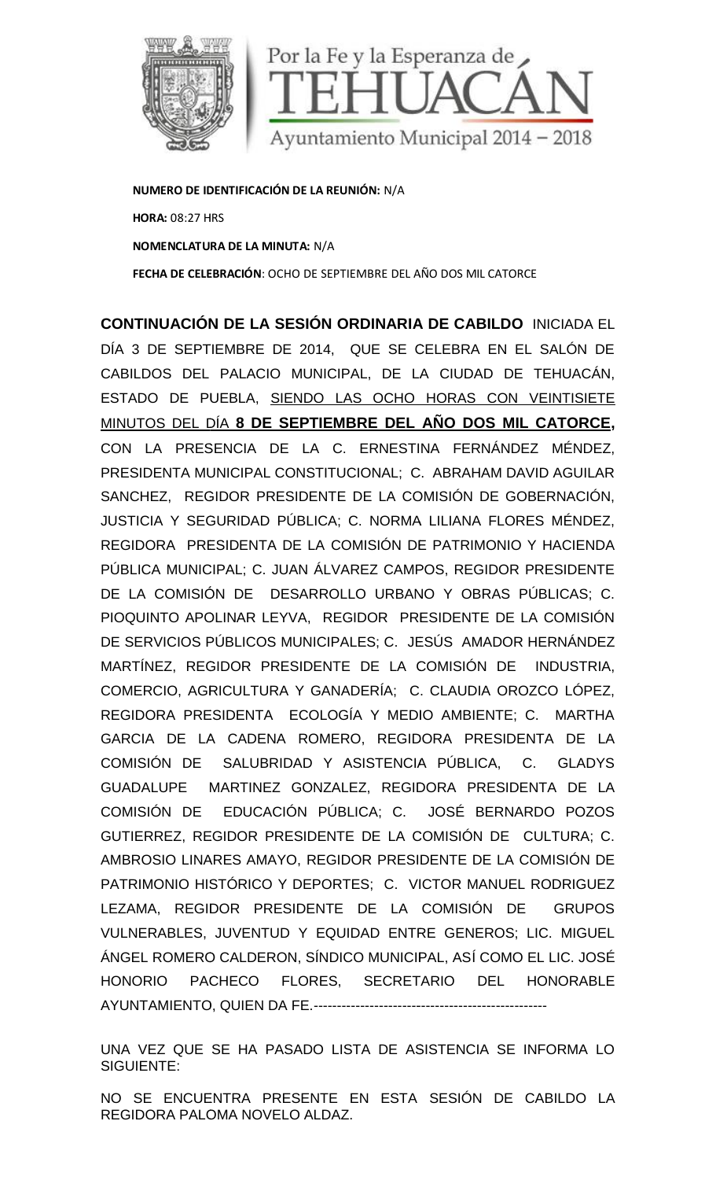

**NUMERO DE IDENTIFICACIÓN DE LA REUNIÓN:** N/A **HORA:** 08:27 HRS **NOMENCLATURA DE LA MINUTA:** N/A **FECHA DE CELEBRACIÓN**: OCHO DE SEPTIEMBRE DEL AÑO DOS MIL CATORCE

**CONTINUACIÓN DE LA SESIÓN ORDINARIA DE CABILDO** INICIADA EL DÍA 3 DE SEPTIEMBRE DE 2014, QUE SE CELEBRA EN EL SALÓN DE CABILDOS DEL PALACIO MUNICIPAL, DE LA CIUDAD DE TEHUACÁN, DIA 3 DE SEPTIEMBRE DE 2014, QUE SE CELEBRA EN EL SALON DE<br>CABILDOS DEL PALACIO MUNICIPAL, DE LA CIUDAD DE TEHUACÁN,<br>ESTADO DE PUEBLA, <u>SIENDO LAS OCHO HORAS CON VEINTISIETE</u> MINUTOS DEL DÍA **8 DE SEPTIEMBRE DEL AÑO DOS MIL CATORCE,** CON LA PRESENCIA DE LA C. ERNESTINA FERNÁNDEZ MÉNDEZ, PRESIDENTA MUNICIPAL CONSTITUCIONAL; C. ABRAHAM DAVID AGUILAR SANCHEZ, REGIDOR PRESIDENTE DE LA COMISIÓN DE GOBERNACIÓN, JUSTICIA Y SEGURIDAD PÚBLICA; C. NORMA LILIANA FLORES MÉNDEZ, REGIDORA PRESIDENTA DE LA COMISIÓN DE PATRIMONIO Y HACIENDA PÚBLICA MUNICIPAL; C. JUAN ÁLVAREZ CAMPOS, REGIDOR PRESIDENTE DE LA COMISIÓN DE DESARROLLO URBANO Y OBRAS PÚBLICAS; C. PIOQUINTO APOLINAR LEYVA, REGIDOR PRESIDENTE DE LA COMISIÓN DE SERVICIOS PÚBLICOS MUNICIPALES; C. JESÚS AMADOR HERNÁNDEZ MARTÍNEZ, REGIDOR PRESIDENTE DE LA COMISIÓN DE INDUSTRIA, COMERCIO, AGRICULTURA Y GANADERÍA; C. CLAUDIA OROZCO LÓPEZ, REGIDORA PRESIDENTA ECOLOGÍA Y MEDIO AMBIENTE; C. MARTHA GARCIA DE LA CADENA ROMERO, REGIDORA PRESIDENTA DE LA COMISIÓN DE SALUBRIDAD Y ASISTENCIA PÚBLICA, C. GLADYS GUADALUPE MARTINEZ GONZALEZ, REGIDORA PRESIDENTA DE LA COMISIÓN DE EDUCACIÓN PÚBLICA; C. JOSÉ BERNARDO POZOS GUTIERREZ, REGIDOR PRESIDENTE DE LA COMISIÓN DE CULTURA; C. AMBROSIO LINARES AMAYO, REGIDOR PRESIDENTE DE LA COMISIÓN DE PATRIMONIO HISTÓRICO Y DEPORTES; C. VICTOR MANUEL RODRIGUEZ LEZAMA, REGIDOR PRESIDENTE DE LA COMISIÓN DE GRUPOS VULNERABLES, JUVENTUD Y EQUIDAD ENTRE GENEROS; LIC. MIGUEL ÁNGEL ROMERO CALDERON, SÍNDICO MUNICIPAL, ASÍ COMO EL LIC. JOSÉ HONORIO PACHECO FLORES, SECRETARIO DEL HONORABLE AYUNTAMIENTO, QUIEN DA FE.----------------------------------DE 2014, QUE SE CELEBRA EN EL SALÓN DE<br>
<u>IO MUNICIPAL</u>, DE LA CIUDAD DE TEHUACÁN,<br>
<u>SIENDO LAS OCHO HORAS CON VEINTISIETE</u><br>
<u>E SEPTIEMBRE DEL AÑO DOS MIL CATORCE,</u><br>
DE LA C. ERNESTINA FERNÁNDEZ MÉNDEZ,<br>
LONSTITUCIONAL; C. MARTINEZ, REGIDOR PRESIDENTE DE LA COMISION DE INDUSTRIA,<br>COMERCIO, AGRICULTURA Y GANADERÍA; C. CLAUDIA OROZCO LÓPEZ,<br>REGIDORA PRESIDENTA ECOLOGÍA Y MEDIO AMBIENTE; C. MARTHA<br>GARCIA DE LA CADENA ROMERO, REGIDORA PRESIDENTA

UNA VEZ QUE SE HA PASADO LISTA DE ASISTENCIA SE INFORMA LO SIGUIENTE:

NO SE ENCUENTRA PRESENTE EN ESTA SESIÓN DE CABILDO LA REGIDORA PALOMA NOVELO ALDAZ.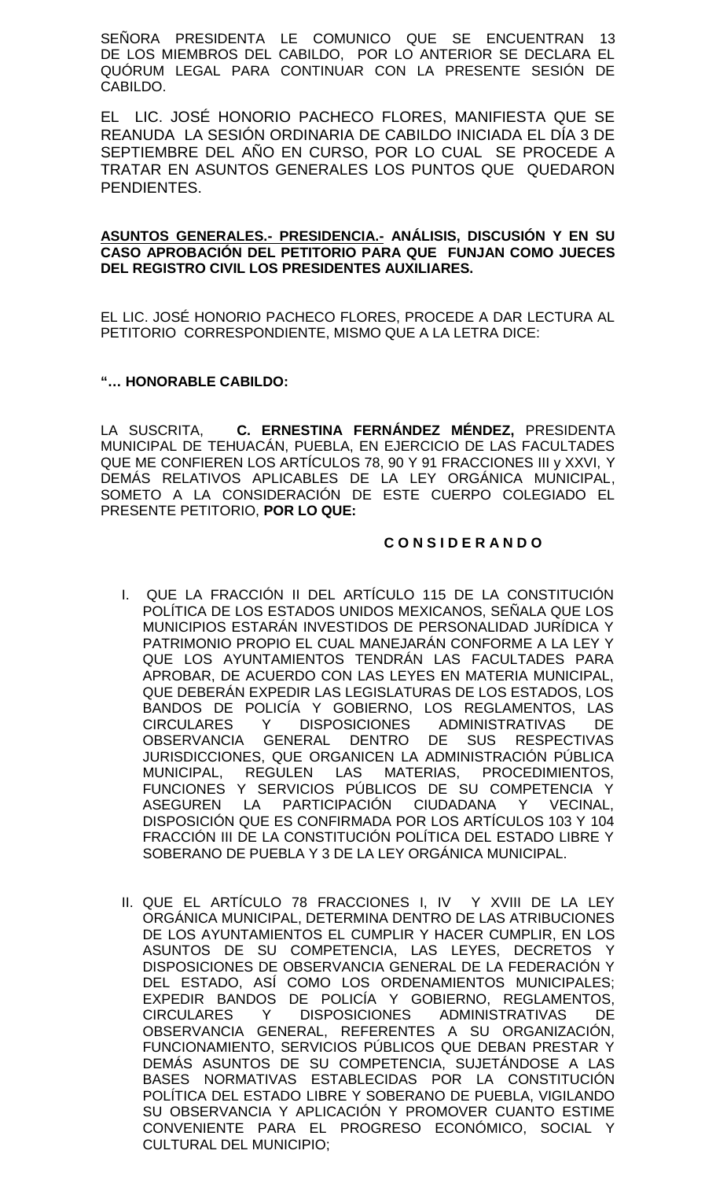SEÑORA PRESIDENTA LE COMUNICO QUE SE ENCUENTRAN 13 DE LOS MIEMBROS DEL CABILDO, POR LO ANTERIOR SE DECLARA EL QUÓRUM LEGAL PARA CONTINUAR CON LA PRESENTE SESIÓN DE CABILDO.

EL LIC. JOSÉ HONORIO PACHECO FLORES, MANIFIESTA QUE SE REANUDA LA SESIÓN ORDINARIA DE CABILDO INICIADA EL DÍA 3 DE SEPTIEMBRE DEL AÑO EN CURSO, POR LO CUAL SE PROCEDE A TRATAR EN ASUNTOS GENERALES LOS PUNTOS QUE QUEDARON PENDIENTES.

## **ASUNTOS GENERALES.- PRESIDENCIA.- ANÁLISIS, DISCUSIÓN Y EN SU CASO APROBACIÓN DEL PETITORIO PARA QUE FUNJAN COMO JUECES DEL REGISTRO CIVIL LOS PRESIDENTES AUXILIARES.**

EL LIC. JOSÉ HONORIO PACHECO FLORES, PROCEDE A DAR LECTURA AL PETITORIO CORRESPONDIENTE, MISMO QUE A LA LETRA DICE:

## **"… HONORABLE CABILDO:**

LA SUSCRITA, **C. ERNESTINA FERNÁNDEZ MÉNDEZ,** PRESIDENTA MUNICIPAL DE TEHUACÁN, PUEBLA, EN EJERCICIO DE LAS FACULTADES QUE ME CONFIEREN LOS ARTÍCULOS 78, 90 Y 91 FRACCIONES III y XXVI, Y DEMÁS RELATIVOS APLICABLES DE LA LEY ORGÁNICA MUNICIPAL, SOMETO A LA CONSIDERACIÓN DE ESTE CUERPO COLEGIADO EL PRESENTE PETITORIO, **POR LO QUE:**

## **C O N S I D E R A N D O**

- I. QUE LA FRACCIÓN II DEL ARTÍCULO 115 DE LA CONSTITUCIÓN POLÍTICA DE LOS ESTADOS UNIDOS MEXICANOS, SEÑALA QUE LOS MUNICIPIOS ESTARÁN INVESTIDOS DE PERSONALIDAD JURÍDICA Y PATRIMONIO PROPIO EL CUAL MANEJARÁN CONFORME A LA LEY Y QUE LOS AYUNTAMIENTOS TENDRÁN LAS FACULTADES PARA APROBAR, DE ACUERDO CON LAS LEYES EN MATERIA MUNICIPAL, QUE DEBERÁN EXPEDIR LAS LEGISLATURAS DE LOS ESTADOS, LOS BANDOS DE POLICÍA Y GOBIERNO, LOS REGLAMENTOS, LAS<br>CIRCULARES Y DISPOSICIONES ADMINISTRATIVAS DE CIRCULARES Y DISPOSICIONES ADMINISTRATIVAS DE OBSERVANCIA GENERAL DENTRO DE SUS RESPECTIVAS JURISDICCIONES, QUE ORGANICEN LA ADMINISTRACIÓN PÚBLICA MUNICIPAL, REGULEN LAS MATERIAS, PROCEDIMIENTOS, FUNCIONES Y SERVICIOS PÚBLICOS DE SU COMPETENCIA Y ASEGUREN LA PARTICIPACIÓN CIUDADANA Y VECINAL, DISPOSICIÓN QUE ES CONFIRMADA POR LOS ARTÍCULOS 103 Y 104 FRACCIÓN III DE LA CONSTITUCIÓN POLÍTICA DEL ESTADO LIBRE Y SOBERANO DE PUEBLA Y 3 DE LA LEY ORGÁNICA MUNICIPAL.
- II. QUE EL ARTÍCULO 78 FRACCIONES I, IV Y XVIII DE LA LEY ORGÁNICA MUNICIPAL, DETERMINA DENTRO DE LAS ATRIBUCIONES DE LOS AYUNTAMIENTOS EL CUMPLIR Y HACER CUMPLIR, EN LOS ASUNTOS DE SU COMPETENCIA, LAS LEYES, DECRETOS Y DISPOSICIONES DE OBSERVANCIA GENERAL DE LA FEDERACIÓN Y DEL ESTADO, ASÍ COMO LOS ORDENAMIENTOS MUNICIPALES; EXPEDIR BANDOS DE POLICÍA Y GOBIERNO, REGLAMENTOS, CIRCULARES Y DISPOSICIONES ADMINISTRATIVAS DE OBSERVANCIA GENERAL, REFERENTES A SU ORGANIZACIÓN, FUNCIONAMIENTO, SERVICIOS PÚBLICOS QUE DEBAN PRESTAR Y DEMÁS ASUNTOS DE SU COMPETENCIA, SUJETÁNDOSE A LAS BASES NORMATIVAS ESTABLECIDAS POR LA CONSTITUCIÓN POLÍTICA DEL ESTADO LIBRE Y SOBERANO DE PUEBLA, VIGILANDO SU OBSERVANCIA Y APLICACIÓN Y PROMOVER CUANTO ESTIME CONVENIENTE PARA EL PROGRESO ECONÓMICO, SOCIAL Y CULTURAL DEL MUNICIPIO;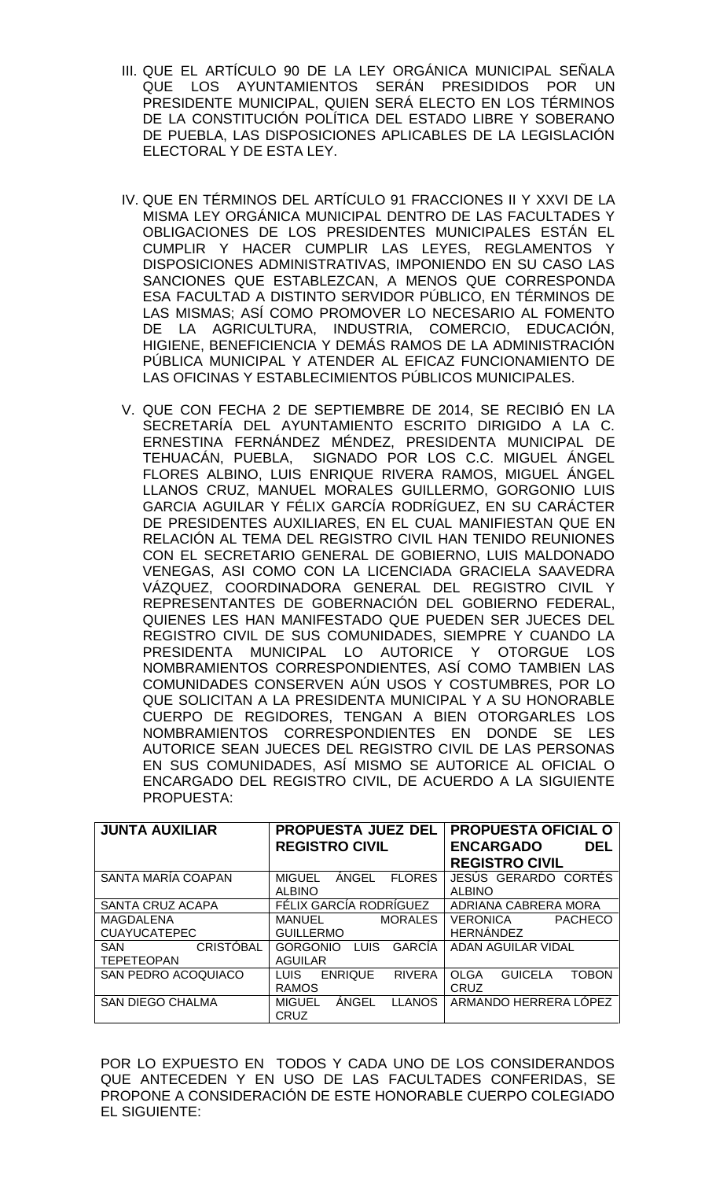- III. QUE EL ARTÍCULO 90 DE LA LEY ORGÁNICA MUNICIPAL SEÑALA QUE LOS AYUNTAMIENTOS SERÁN PRESIDIDOS POR UN PRESIDENTE MUNICIPAL, QUIEN SERÁ ELECTO EN LOS TÉRMINOS DE LA CONSTITUCIÓN POLÍTICA DEL ESTADO LIBRE Y SOBERANO DE PUEBLA, LAS DISPOSICIONES APLICABLES DE LA LEGISLACIÓN ELECTORAL Y DE ESTA LEY.
- IV. QUE EN TÉRMINOS DEL ARTÍCULO 91 FRACCIONES II Y XXVI DE LA MISMA LEY ORGÁNICA MUNICIPAL DENTRO DE LAS FACULTADES Y OBLIGACIONES DE LOS PRESIDENTES MUNICIPALES ESTÁN EL CUMPLIR Y HACER CUMPLIR LAS LEYES, REGLAMENTOS Y DISPOSICIONES ADMINISTRATIVAS, IMPONIENDO EN SU CASO LAS SANCIONES QUE ESTABLEZCAN, A MENOS QUE CORRESPONDA ESA FACULTAD A DISTINTO SERVIDOR PÚBLICO, EN TÉRMINOS DE LAS MISMAS; ASÍ COMO PROMOVER LO NECESARIO AL FOMENTO DE LA AGRICULTURA, INDUSTRIA, COMERCIO, EDUCACIÓN, HIGIENE, BENEFICIENCIA Y DEMÁS RAMOS DE LA ADMINISTRACIÓN PÚBLICA MUNICIPAL Y ATENDER AL EFICAZ FUNCIONAMIENTO DE LAS OFICINAS Y ESTABLECIMIENTOS PÚBLICOS MUNICIPALES.
- V. QUE CON FECHA 2 DE SEPTIEMBRE DE 2014, SE RECIBIÓ EN LA SECRETARÍA DEL AYUNTAMIENTO ESCRITO DIRIGIDO A LA C. ERNESTINA FERNÁNDEZ MÉNDEZ, PRESIDENTA MUNICIPAL DE TEHUACÁN, PUEBLA, SIGNADO POR LOS C.C. MIGUEL ÁNGEL FLORES ALBINO, LUIS ENRIQUE RIVERA RAMOS, MIGUEL ÁNGEL LLANOS CRUZ, MANUEL MORALES GUILLERMO, GORGONIO LUIS GARCIA AGUILAR Y FÉLIX GARCÍA RODRÍGUEZ, EN SU CARÁCTER DE PRESIDENTES AUXILIARES, EN EL CUAL MANIFIESTAN QUE EN RELACIÓN AL TEMA DEL REGISTRO CIVIL HAN TENIDO REUNIONES CON EL SECRETARIO GENERAL DE GOBIERNO, LUIS MALDONADO VENEGAS, ASI COMO CON LA LICENCIADA GRACIELA SAAVEDRA VÁZQUEZ, COORDINADORA GENERAL DEL REGISTRO CIVIL Y REPRESENTANTES DE GOBERNACIÓN DEL GOBIERNO FEDERAL, QUIENES LES HAN MANIFESTADO QUE PUEDEN SER JUECES DEL REGISTRO CIVIL DE SUS COMUNIDADES, SIEMPRE Y CUANDO LA PRESIDENTA MUNICIPAL LO AUTORICE Y OTORGUE LOS NOMBRAMIENTOS CORRESPONDIENTES, ASÍ COMO TAMBIEN LAS COMUNIDADES CONSERVEN AÚN USOS Y COSTUMBRES, POR LO QUE SOLICITAN A LA PRESIDENTA MUNICIPAL Y A SU HONORABLE CUERPO DE REGIDORES, TENGAN A BIEN OTORGARLES LOS NOMBRAMIENTOS CORRESPONDIENTES EN DONDE SE LES AUTORICE SEAN JUECES DEL REGISTRO CIVIL DE LAS PERSONAS EN SUS COMUNIDADES, ASÍ MISMO SE AUTORICE AL OFICIAL O ENCARGADO DEL REGISTRO CIVIL, DE ACUERDO A LA SIGUIENTE PROPUESTA:

| <b>JUNTA AUXILIAR</b>     | <b>PROPUESTA JUEZ DEL</b><br><b>REGISTRO CIVIL</b>              | <b>PROPUESTA OFICIAL O</b><br><b>ENCARGADO</b><br><b>DEL</b><br><b>REGISTRO CIVIL</b> |
|---------------------------|-----------------------------------------------------------------|---------------------------------------------------------------------------------------|
| <b>SANTA MARÍA COAPAN</b> | <b>ANGEL</b><br><b>FLORES</b><br><b>MIGUEL</b><br><b>ALBINO</b> | JESUS GERARDO CORTÉS<br><b>ALBINO</b>                                                 |
| SANTA CRUZ ACAPA          | FÉLIX GARCIA RODRIGUEZ                                          | ADRIANA CABRERA MORA                                                                  |
| MAGDALENA                 | <b>MORALES</b><br>MANUEL                                        | VERONICA<br><b>PACHECO</b>                                                            |
| <b>CUAYUCATEPEC</b>       | <b>GUILLERMO</b>                                                | <b>HERNANDEZ</b>                                                                      |
| <b>CRISTÓBAL</b><br>SAN   | <b>GARCIA</b><br><b>GORGONIO</b><br>LUIS                        | ADAN AGUILAR VIDAL                                                                    |
| <b>TEPETEOPAN</b>         | <b>AGUILAR</b>                                                  |                                                                                       |
| SAN PEDRO ACOQUIACO       | <b>LUIS</b><br><b>ENRIQUE</b><br><b>RIVERA</b>                  | <b>OLGA</b><br><b>GUICELA</b><br><b>TOBON</b>                                         |
|                           | <b>RAMOS</b>                                                    | CRUZ                                                                                  |
| <b>SAN DIEGO CHALMA</b>   | ÁNGEL<br><b>MIGUEL</b><br><b>LLANOS</b><br>CRUZ                 | ARMANDO HERRERA LÓPEZ                                                                 |

POR LO EXPUESTO EN TODOS Y CADA UNO DE LOS CONSIDERANDOS QUE ANTECEDEN Y EN USO DE LAS FACULTADES CONFERIDAS, SE PROPONE A CONSIDERACIÓN DE ESTE HONORABLE CUERPO COLEGIADO EL SIGUIENTE: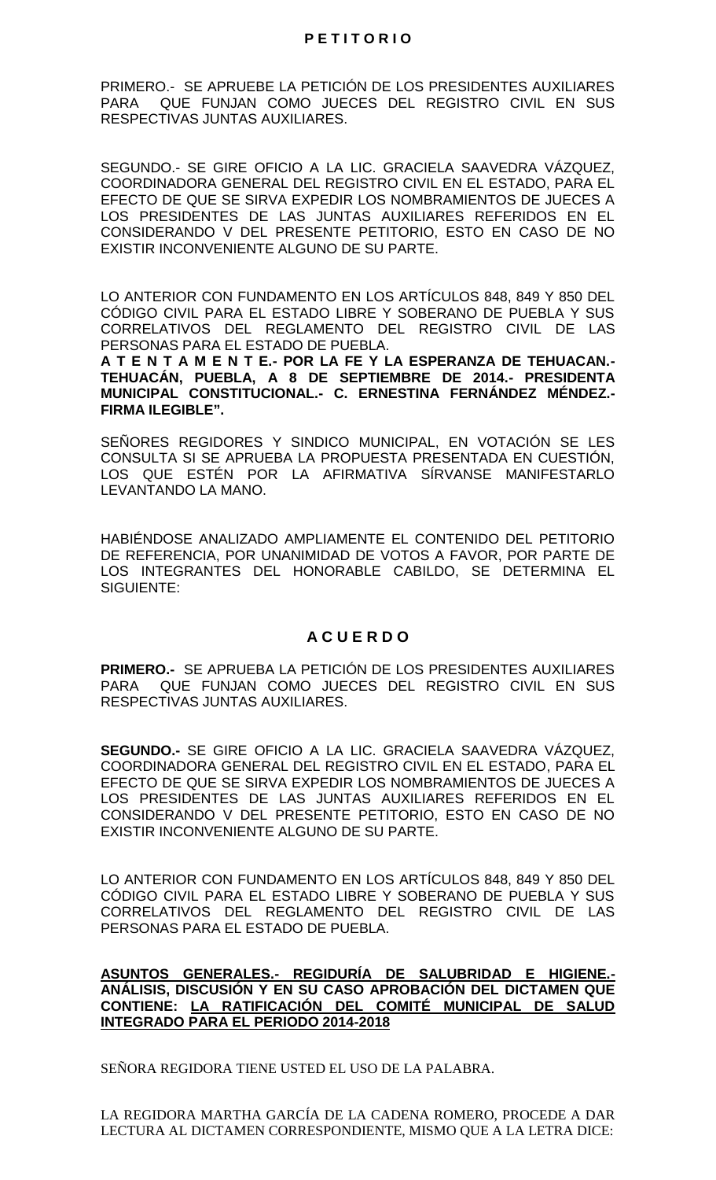## **P E T I T O R I O**

PRIMERO.- SE APRUEBE LA PETICIÓN DE LOS PRESIDENTES AUXILIARES PARA QUE FUNJAN COMO JUECES DEL REGISTRO CIVIL EN SUS RESPECTIVAS JUNTAS AUXILIARES.

SEGUNDO.- SE GIRE OFICIO A LA LIC. GRACIELA SAAVEDRA VÁZQUEZ, COORDINADORA GENERAL DEL REGISTRO CIVIL EN EL ESTADO, PARA EL EFECTO DE QUE SE SIRVA EXPEDIR LOS NOMBRAMIENTOS DE JUECES A LOS PRESIDENTES DE LAS JUNTAS AUXILIARES REFERIDOS EN EL CONSIDERANDO V DEL PRESENTE PETITORIO, ESTO EN CASO DE NO EXISTIR INCONVENIENTE ALGUNO DE SU PARTE.

LO ANTERIOR CON FUNDAMENTO EN LOS ARTÍCULOS 848, 849 Y 850 DEL CÓDIGO CIVIL PARA EL ESTADO LIBRE Y SOBERANO DE PUEBLA Y SUS CORRELATIVOS DEL REGLAMENTO DEL REGISTRO CIVIL DE LAS PERSONAS PARA EL ESTADO DE PUEBLA.

**A T E N T A M E N T E.- POR LA FE Y LA ESPERANZA DE TEHUACAN.- TEHUACÁN, PUEBLA, A 8 DE SEPTIEMBRE DE 2014.- PRESIDENTA MUNICIPAL CONSTITUCIONAL.- C. ERNESTINA FERNÁNDEZ MÉNDEZ.- FIRMA ILEGIBLE".**

SEÑORES REGIDORES Y SINDICO MUNICIPAL, EN VOTACIÓN SE LES CONSULTA SI SE APRUEBA LA PROPUESTA PRESENTADA EN CUESTIÓN, LOS QUE ESTÉN POR LA AFIRMATIVA SÍRVANSE MANIFESTARLO LEVANTANDO LA MANO.

HABIÉNDOSE ANALIZADO AMPLIAMENTE EL CONTENIDO DEL PETITORIO DE REFERENCIA, POR UNANIMIDAD DE VOTOS A FAVOR, POR PARTE DE LOS INTEGRANTES DEL HONORABLE CABILDO, SE DETERMINA EL SIGUIENTE:

## **A C U E R D O**

**PRIMERO.-** SE APRUEBA LA PETICIÓN DE LOS PRESIDENTES AUXILIARES PARA QUE FUNJAN COMO JUECES DEL REGISTRO CIVIL EN SUS RESPECTIVAS JUNTAS AUXILIARES.

**SEGUNDO.-** SE GIRE OFICIO A LA LIC. GRACIELA SAAVEDRA VÁZQUEZ, COORDINADORA GENERAL DEL REGISTRO CIVIL EN EL ESTADO, PARA EL EFECTO DE QUE SE SIRVA EXPEDIR LOS NOMBRAMIENTOS DE JUECES A LOS PRESIDENTES DE LAS JUNTAS AUXILIARES REFERIDOS EN EL CONSIDERANDO V DEL PRESENTE PETITORIO, ESTO EN CASO DE NO EXISTIR INCONVENIENTE ALGUNO DE SU PARTE.

LO ANTERIOR CON FUNDAMENTO EN LOS ARTÍCULOS 848, 849 Y 850 DEL CÓDIGO CIVIL PARA EL ESTADO LIBRE Y SOBERANO DE PUEBLA Y SUS CORRELATIVOS DEL REGLAMENTO DEL REGISTRO CIVIL DE LAS PERSONAS PARA EL ESTADO DE PUEBLA.

**ASUNTOS GENERALES.- REGIDURÍA DE SALUBRIDAD E HIGIENE.- ANÁLISIS, DISCUSIÓN Y EN SU CASO APROBACIÓN DEL DICTAMEN QUE CONTIENE: LA RATIFICACIÓN DEL COMITÉ MUNICIPAL DE SALUD INTEGRADO PARA EL PERIODO 2014-2018**

SEÑORA REGIDORA TIENE USTED EL USO DE LA PALABRA.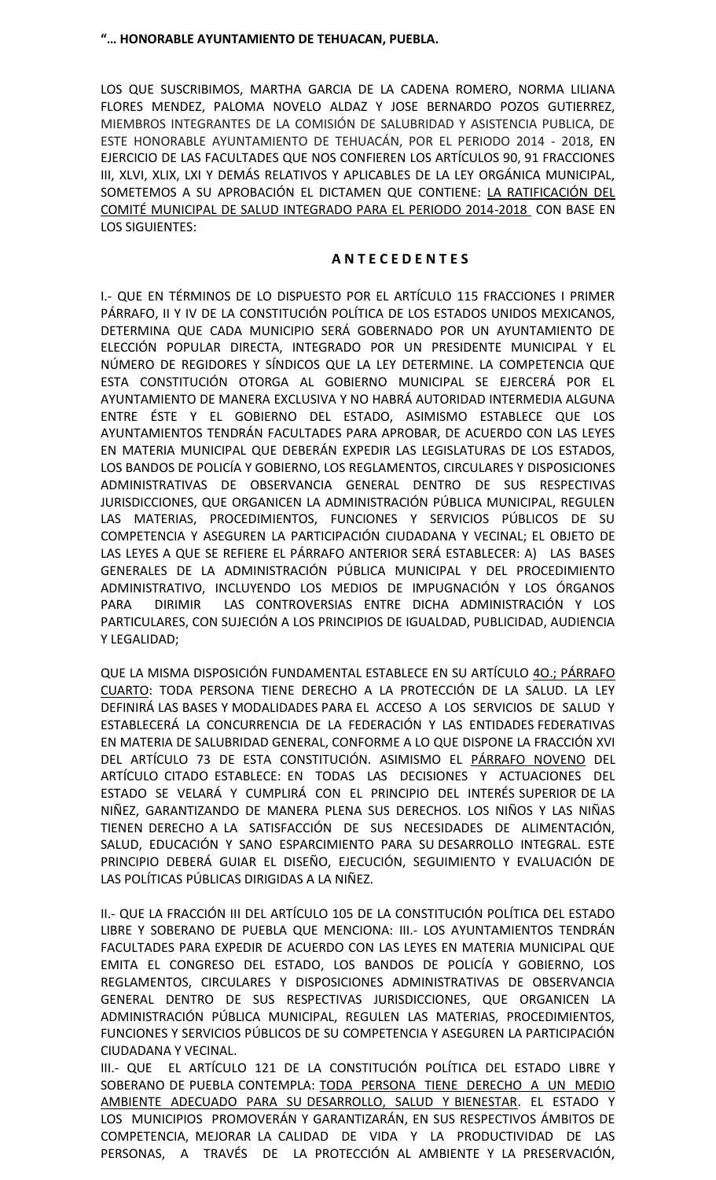#### **"… HONORABLE AYUNTAMIENTO DE TEHUACAN, PUEBLA.**

LOS QUE SUSCRIBIMOS, MARTHA GARCIA DE LA CADENA ROMERO, NORMA LILIANA FLORES MENDEZ, PALOMA NOVELO ALDAZ Y JOSE BERNARDO POZOS GUTIERREZ, MIEMBROS INTEGRANTES DE LA COMISIÓN DE SALUBRIDAD Y ASISTENCIA PUBLICA, DE ESTE HONORABLE AYUNTAMIENTO DE TEHUACÁN, POR EL PERIODO 2014 - 2018, EN EJERCICIO DE LAS FACULTADES QUE NOS CONFIEREN LOS ARTÍCULOS 90, 91 FRACCIONES III, XLVI, XLIX, LXI Y DEMÁS RELATIVOS Y APLICABLES DE LA LEY ORGÁNICA MUNICIPAL, SOMETEMOS A SU APROBACIÓN EL DICTAMEN QUE CONTIENE: LA RATIFICACIÓN DEL COMITÉ MUNICIPAL DE SALUD INTEGRADO PARA EL PERIODO 2014-2018 CON BASE EN LOS SIGUIENTES:

### **A N T E C E D E N T E S**

I.- QUE EN TÉRMINOS DE LO DISPUESTO POR EL ARTÍCULO 115 FRACCIONES I PRIMER PÁRRAFO, II Y IV DE LA CONSTITUCIÓN POLÍTICA DE LOS ESTADOS UNIDOS MEXICANOS, DETERMINA QUE CADA MUNICIPIO SERÁ GOBERNADO POR UN AYUNTAMIENTO DE ELECCIÓN POPULAR DIRECTA, INTEGRADO POR UN PRESIDENTE MUNICIPAL Y EL NÚMERO DE REGIDORES Y SÍNDICOS QUE LA LEY DETERMINE. LA COMPETENCIA QUE ESTA CONSTITUCIÓN OTORGA AL GOBIERNO MUNICIPAL SE EJERCERÁ POR EL AYUNTAMIENTO DE MANERA EXCLUSIVA Y NO HABRÁ AUTORIDAD INTERMEDIA ALGUNA ENTRE ÉSTE Y EL GOBIERNO DEL ESTADO, ASIMISMO ESTABLECE QUE LOS AYUNTAMIENTOS TENDRÁN FACULTADES PARA APROBAR, DE ACUERDO CON LAS LEYES EN MATERIA MUNICIPAL QUE DEBERÁN EXPEDIR LAS LEGISLATURAS DE LOS ESTADOS, LOS BANDOS DE POLICÍA Y GOBIERNO, LOS REGLAMENTOS, CIRCULARES Y DISPOSICIONES ADMINISTRATIVAS DE OBSERVANCIA GENERAL DENTRO DE SUS RESPECTIVAS JURISDICCIONES, QUE ORGANICEN LA ADMINISTRACIÓN PÚBLICA MUNICIPAL, REGULEN LAS MATERIAS, PROCEDIMIENTOS, FUNCIONES Y SERVICIOS PÚBLICOS DE SU COMPETENCIA Y ASEGUREN LA PARTICIPACIÓN CIUDADANA Y VECINAL; EL OBJETO DE LAS LEYES A QUE SE REFIERE EL PÁRRAFO ANTERIOR SERÁ ESTABLECER: A) LAS BASES GENERALES DE LA ADMINISTRACIÓN PÚBLICA MUNICIPAL Y DEL PROCEDIMIENTO ADMINISTRATIVO, INCLUYENDO LOS MEDIOS DE IMPUGNACIÓN Y LOS ÓRGANOS PARA DIRIMIR LAS CONTROVERSIAS ENTRE DICHA ADMINISTRACIÓN Y LOS PARTICULARES, CON SUJECIÓN A LOS PRINCIPIOS DE IGUALDAD, PUBLICIDAD, AUDIENCIA Y LEGALIDAD;

QUE LA MISMA DISPOSICIÓN FUNDAMENTAL ESTABLECE EN SU ARTÍCULO 4O.; PÁRRAFO CUARTO: TODA PERSONA TIENE DERECHO A LA PROTECCIÓN DE LA SALUD. LA LEY DEFINIRÁ LAS BASES Y MODALIDADES PARA EL ACCESO A LOS SERVICIOS DE SALUD Y ESTABLECERÁ LA CONCURRENCIA DE LA FEDERACIÓN Y LAS ENTIDADES FEDERATIVAS EN MATERIA DE SALUBRIDAD GENERAL, CONFORME A LO QUE DISPONE LA FRACCIÓN XVI DEL ARTÍCULO 73 DE ESTA CONSTITUCIÓN. ASIMISMO EL PÁRRAFO NOVENO DEL ARTÍCULO CITADO ESTABLECE: EN TODAS LAS DECISIONES Y ACTUACIONES DEL ESTADO SE VELARÁ Y CUMPLIRÁ CON EL PRINCIPIO DEL INTERÉS SUPERIOR DE LA NIÑEZ, GARANTIZANDO DE MANERA PLENA SUS DERECHOS. LOS NIÑOS Y LAS NIÑAS TIENEN DERECHO A LA SATISFACCIÓN DE SUS NECESIDADES DE ALIMENTACIÓN, SALUD, EDUCACIÓN Y SANO ESPARCIMIENTO PARA SU DESARROLLO INTEGRAL. ESTE PRINCIPIO DEBERÁ GUIAR EL DISEÑO, EJECUCIÓN, SEGUIMIENTO Y EVALUACIÓN DE LAS POLÍTICAS PÚBLICAS DIRIGIDAS A LA NIÑEZ.

II.- QUE LA FRACCIÓN III DEL ARTÍCULO 105 DE LA CONSTITUCIÓN POLÍTICA DEL ESTADO LIBRE Y SOBERANO DE PUEBLA QUE MENCIONA: III.- LOS AYUNTAMIENTOS TENDRÁN FACULTADES PARA EXPEDIR DE ACUERDO CON LAS LEYES EN MATERIA MUNICIPAL QUE EMITA EL CONGRESO DEL ESTADO, LOS BANDOS DE POLICÍA Y GOBIERNO, LOS REGLAMENTOS, CIRCULARES Y DISPOSICIONES ADMINISTRATIVAS DE OBSERVANCIA GENERAL DENTRO DE SUS RESPECTIVAS JURISDICCIONES, QUE ORGANICEN LA ADMINISTRACIÓN PÚBLICA MUNICIPAL, REGULEN LAS MATERIAS, PROCEDIMIENTOS, FUNCIONES Y SERVICIOS PÚBLICOS DE SU COMPETENCIA Y ASEGUREN LA PARTICIPACIÓN CIUDADANA Y VECINAL.

III.- QUE EL ARTÍCULO 121 DE LA CONSTITUCIÓN POLÍTICA DEL ESTADO LIBRE Y SOBERANO DE PUEBLA CONTEMPLA: TODA PERSONA TIENE DERECHO A UN MEDIO AMBIENTE ADECUADO PARA SU DESARROLLO, SALUD Y BIENESTAR. EL ESTADO Y LOS MUNICIPIOS PROMOVERÁN Y GARANTIZARÁN, EN SUS RESPECTIVOS ÁMBITOS DE COMPETENCIA, MEJORAR LA CALIDAD DE VIDA Y LA PRODUCTIVIDAD DE LAS PERSONAS, A TRAVÉS DE LA PROTECCIÓN AL AMBIENTE Y LA PRESERVACIÓN,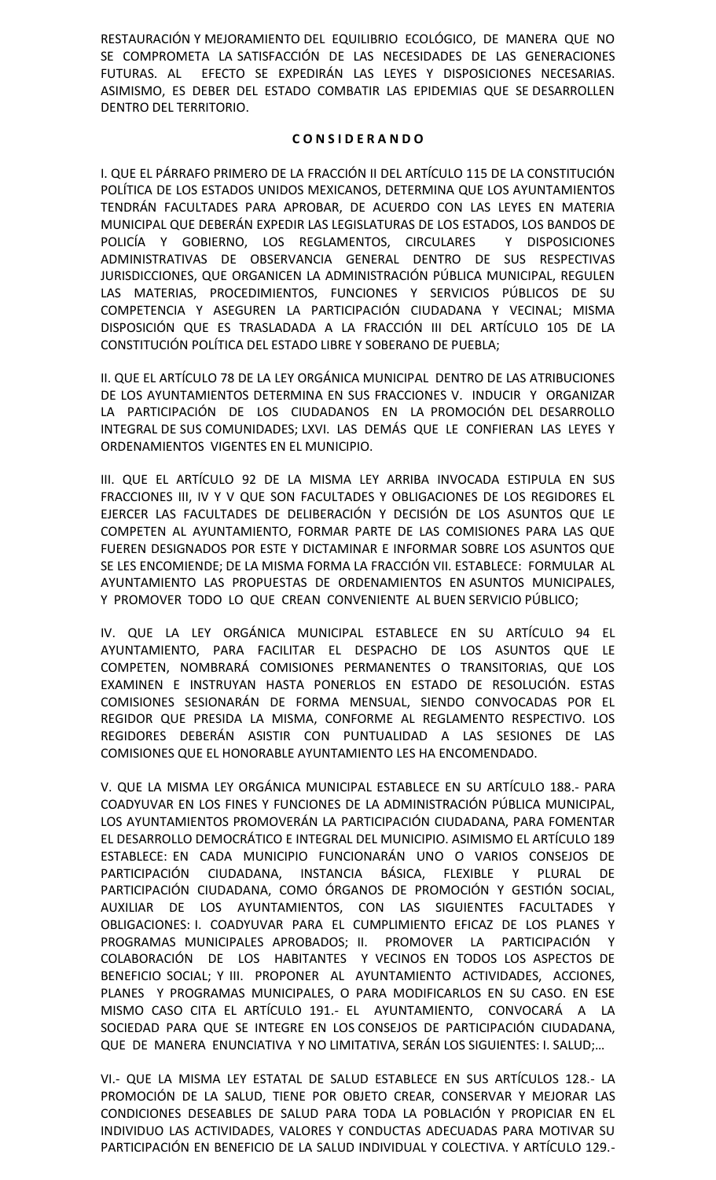RESTAURACIÓN Y MEJORAMIENTO DEL EQUILIBRIO ECOLÓGICO, DE MANERA QUE NO SE COMPROMETA LA SATISFACCIÓN DE LAS NECESIDADES DE LAS GENERACIONES FUTURAS. AL EFECTO SE EXPEDIRÁN LAS LEYES Y DISPOSICIONES NECESARIAS. ASIMISMO, ES DEBER DEL ESTADO COMBATIR LAS EPIDEMIAS QUE SE DESARROLLEN DENTRO DEL TERRITORIO.

## **C O N S I D E R A N D O**

I. QUE EL PÁRRAFO PRIMERO DE LA FRACCIÓN II DEL ARTÍCULO 115 DE LA CONSTITUCIÓN POLÍTICA DE LOS ESTADOS UNIDOS MEXICANOS, DETERMINA QUE LOS AYUNTAMIENTOS TENDRÁN FACULTADES PARA APROBAR, DE ACUERDO CON LAS LEYES EN MATERIA MUNICIPAL QUE DEBERÁN EXPEDIR LAS LEGISLATURAS DE LOS ESTADOS, LOS BANDOS DE POLICÍA Y GOBIERNO, LOS REGLAMENTOS, CIRCULARES Y DISPOSICIONES ADMINISTRATIVAS DE OBSERVANCIA GENERAL DENTRO DE SUS RESPECTIVAS JURISDICCIONES, QUE ORGANICEN LA ADMINISTRACIÓN PÚBLICA MUNICIPAL, REGULEN LAS MATERIAS, PROCEDIMIENTOS, FUNCIONES Y SERVICIOS PÚBLICOS DE SU COMPETENCIA Y ASEGUREN LA PARTICIPACIÓN CIUDADANA Y VECINAL; MISMA DISPOSICIÓN QUE ES TRASLADADA A LA FRACCIÓN III DEL ARTÍCULO 105 DE LA CONSTITUCIÓN POLÍTICA DEL ESTADO LIBRE Y SOBERANO DE PUEBLA;

II. QUE EL ARTÍCULO 78 DE LA LEY ORGÁNICA MUNICIPAL DENTRO DE LAS ATRIBUCIONES DE LOS AYUNTAMIENTOS DETERMINA EN SUS FRACCIONES V. INDUCIR Y ORGANIZAR LA PARTICIPACIÓN DE LOS CIUDADANOS EN LA PROMOCIÓN DEL DESARROLLO INTEGRAL DE SUS COMUNIDADES; LXVI. LAS DEMÁS QUE LE CONFIERAN LAS LEYES Y ORDENAMIENTOS VIGENTES EN EL MUNICIPIO.

III. QUE EL ARTÍCULO 92 DE LA MISMA LEY ARRIBA INVOCADA ESTIPULA EN SUS FRACCIONES III, IV Y V QUE SON FACULTADES Y OBLIGACIONES DE LOS REGIDORES EL EJERCER LAS FACULTADES DE DELIBERACIÓN Y DECISIÓN DE LOS ASUNTOS QUE LE COMPETEN AL AYUNTAMIENTO, FORMAR PARTE DE LAS COMISIONES PARA LAS QUE FUEREN DESIGNADOS POR ESTE Y DICTAMINAR E INFORMAR SOBRE LOS ASUNTOS QUE SE LES ENCOMIENDE; DE LA MISMA FORMA LA FRACCIÓN VII. ESTABLECE: FORMULAR AL AYUNTAMIENTO LAS PROPUESTAS DE ORDENAMIENTOS EN ASUNTOS MUNICIPALES, Y PROMOVER TODO LO QUE CREAN CONVENIENTE AL BUEN SERVICIO PÚBLICO;

IV. QUE LA LEY ORGÁNICA MUNICIPAL ESTABLECE EN SU ARTÍCULO 94 EL AYUNTAMIENTO, PARA FACILITAR EL DESPACHO DE LOS ASUNTOS QUE LE COMPETEN, NOMBRARÁ COMISIONES PERMANENTES O TRANSITORIAS, QUE LOS EXAMINEN E INSTRUYAN HASTA PONERLOS EN ESTADO DE RESOLUCIÓN. ESTAS COMISIONES SESIONARÁN DE FORMA MENSUAL, SIENDO CONVOCADAS POR EL REGIDOR QUE PRESIDA LA MISMA, CONFORME AL REGLAMENTO RESPECTIVO. LOS REGIDORES DEBERÁN ASISTIR CON PUNTUALIDAD A LAS SESIONES DE LAS COMISIONES QUE EL HONORABLE AYUNTAMIENTO LES HA ENCOMENDADO.

V. QUE LA MISMA LEY ORGÁNICA MUNICIPAL ESTABLECE EN SU ARTÍCULO 188.- PARA COADYUVAR EN LOS FINES Y FUNCIONES DE LA ADMINISTRACIÓN PÚBLICA MUNICIPAL, LOS AYUNTAMIENTOS PROMOVERÁN LA PARTICIPACIÓN CIUDADANA, PARA FOMENTAR EL DESARROLLO DEMOCRÁTICO E INTEGRAL DEL MUNICIPIO. ASIMISMO EL ARTÍCULO 189 ESTABLECE: EN CADA MUNICIPIO FUNCIONARÁN UNO O VARIOS CONSEJOS DE PARTICIPACIÓN CIUDADANA, INSTANCIA BÁSICA, FLEXIBLE Y PLURAL DE PARTICIPACIÓN CIUDADANA, COMO ÓRGANOS DE PROMOCIÓN Y GESTIÓN SOCIAL, AUXILIAR DE LOS AYUNTAMIENTOS, CON LAS SIGUIENTES FACULTADES Y OBLIGACIONES: I. COADYUVAR PARA EL CUMPLIMIENTO EFICAZ DE LOS PLANES Y PROGRAMAS MUNICIPALES APROBADOS; II. PROMOVER LA PARTICIPACIÓN Y COLABORACIÓN DE LOS HABITANTES Y VECINOS EN TODOS LOS ASPECTOS DE BENEFICIO SOCIAL; Y III. PROPONER AL AYUNTAMIENTO ACTIVIDADES, ACCIONES, PLANES Y PROGRAMAS MUNICIPALES, O PARA MODIFICARLOS EN SU CASO. EN ESE MISMO CASO CITA EL ARTÍCULO 191.- EL AYUNTAMIENTO, CONVOCARÁ A LA SOCIEDAD PARA QUE SE INTEGRE EN LOS CONSEJOS DE PARTICIPACIÓN CIUDADANA, QUE DE MANERA ENUNCIATIVA Y NO LIMITATIVA, SERÁN LOS SIGUIENTES: I. SALUD;…

VI.- QUE LA MISMA LEY ESTATAL DE SALUD ESTABLECE EN SUS ARTÍCULOS 128.- LA PROMOCIÓN DE LA SALUD, TIENE POR OBJETO CREAR, CONSERVAR Y MEJORAR LAS CONDICIONES DESEABLES DE SALUD PARA TODA LA POBLACIÓN Y PROPICIAR EN EL INDIVIDUO LAS ACTIVIDADES, VALORES Y CONDUCTAS ADECUADAS PARA MOTIVAR SU PARTICIPACIÓN EN BENEFICIO DE LA SALUD INDIVIDUAL Y COLECTIVA. Y ARTÍCULO 129.-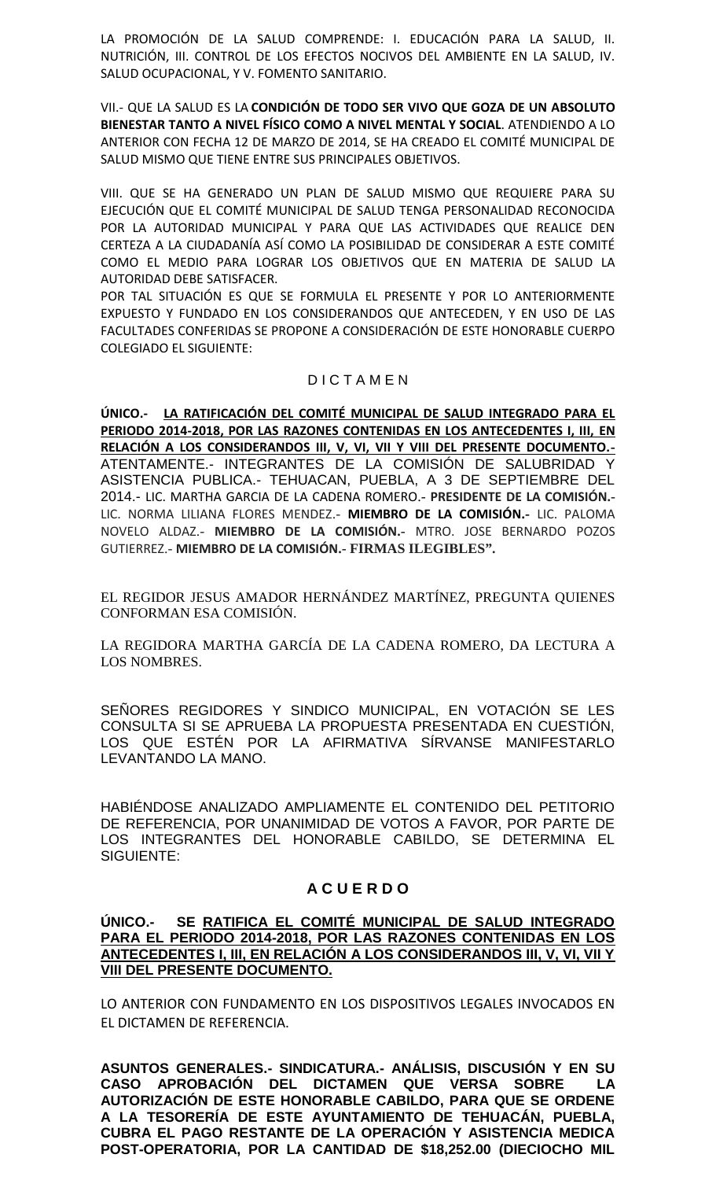LA PROMOCIÓN DE LA SALUD COMPRENDE: I. EDUCACIÓN PARA LA SALUD, II. NUTRICIÓN, III. CONTROL DE LOS EFECTOS NOCIVOS DEL AMBIENTE EN LA SALUD, IV. SALUD OCUPACIONAL, Y V. FOMENTO SANITARIO.

VII.- QUE LA SALUD ES LA **CONDICIÓN DE TODO SER VIVO QUE GOZA DE UN ABSOLUTO BIENESTAR TANTO A NIVEL FÍSICO COMO A NIVEL MENTAL Y SOCIAL**. ATENDIENDO A LO ANTERIOR CON FECHA 12 DE MARZO DE 2014, SE HA CREADO EL COMITÉ MUNICIPAL DE SALUD MISMO QUE TIENE ENTRE SUS PRINCIPALES OBJETIVOS.

VIII. QUE SE HA GENERADO UN PLAN DE SALUD MISMO QUE REQUIERE PARA SU EJECUCIÓN QUE EL COMITÉ MUNICIPAL DE SALUD TENGA PERSONALIDAD RECONOCIDA POR LA AUTORIDAD MUNICIPAL Y PARA QUE LAS ACTIVIDADES QUE REALICE DEN CERTEZA A LA CIUDADANÍA ASÍ COMO LA POSIBILIDAD DE CONSIDERAR A ESTE COMITÉ COMO EL MEDIO PARA LOGRAR LOS OBJETIVOS QUE EN MATERIA DE SALUD LA AUTORIDAD DEBE SATISFACER.

POR TAL SITUACIÓN ES QUE SE FORMULA EL PRESENTE Y POR LO ANTERIORMENTE EXPUESTO Y FUNDADO EN LOS CONSIDERANDOS QUE ANTECEDEN, Y EN USO DE LAS FACULTADES CONFERIDAS SE PROPONE A CONSIDERACIÓN DE ESTE HONORABLE CUERPO COLEGIADO EL SIGUIENTE:

## D I C T A M E N

**ÚNICO.- LA RATIFICACIÓN DEL COMITÉ MUNICIPAL DE SALUD INTEGRADO PARA EL PERIODO 2014-2018, POR LAS RAZONES CONTENIDAS EN LOS ANTECEDENTES I, III, EN RELACIÓN A LOS CONSIDERANDOS III, V, VI, VII Y VIII DEL PRESENTE DOCUMENTO.-** ATENTAMENTE.- INTEGRANTES DE LA COMISIÓN DE SALUBRIDAD Y ASISTENCIA PUBLICA.- TEHUACAN, PUEBLA, A 3 DE SEPTIEMBRE DEL 2014.- LIC. MARTHA GARCIA DE LA CADENA ROMERO.- **PRESIDENTE DE LA COMISIÓN.-** LIC. NORMA LILIANA FLORES MENDEZ.- **MIEMBRO DE LA COMISIÓN.-** LIC. PALOMA NOVELO ALDAZ.- **MIEMBRO DE LA COMISIÓN.-** MTRO. JOSE BERNARDO POZOS GUTIERREZ.- **MIEMBRO DE LA COMISIÓN.- FIRMAS ILEGIBLES".**

EL REGIDOR JESUS AMADOR HERNÁNDEZ MARTÍNEZ, PREGUNTA QUIENES CONFORMAN ESA COMISIÓN.

LA REGIDORA MARTHA GARCÍA DE LA CADENA ROMERO, DA LECTURA A LOS NOMBRES.

SEÑORES REGIDORES Y SINDICO MUNICIPAL, EN VOTACIÓN SE LES CONSULTA SI SE APRUEBA LA PROPUESTA PRESENTADA EN CUESTIÓN, LOS QUE ESTÉN POR LA AFIRMATIVA SÍRVANSE MANIFESTARLO LEVANTANDO LA MANO.

HABIÉNDOSE ANALIZADO AMPLIAMENTE EL CONTENIDO DEL PETITORIO DE REFERENCIA, POR UNANIMIDAD DE VOTOS A FAVOR, POR PARTE DE LOS INTEGRANTES DEL HONORABLE CABILDO, SE DETERMINA EL SIGUIENTE:

## **A C U E R D O**

### **ÚNICO.- SE RATIFICA EL COMITÉ MUNICIPAL DE SALUD INTEGRADO PARA EL PERIODO 2014-2018, POR LAS RAZONES CONTENIDAS EN LOS ANTECEDENTES I, III, EN RELACIÓN A LOS CONSIDERANDOS III, V, VI, VII Y VIII DEL PRESENTE DOCUMENTO.**

LO ANTERIOR CON FUNDAMENTO EN LOS DISPOSITIVOS LEGALES INVOCADOS EN EL DICTAMEN DE REFERENCIA.

**ASUNTOS GENERALES.- SINDICATURA.- ANÁLISIS, DISCUSIÓN Y EN SU CASO APROBACIÓN DEL DICTAMEN QUE VERSA SOBRE LA AUTORIZACIÓN DE ESTE HONORABLE CABILDO, PARA QUE SE ORDENE A LA TESORERÍA DE ESTE AYUNTAMIENTO DE TEHUACÁN, PUEBLA, CUBRA EL PAGO RESTANTE DE LA OPERACIÓN Y ASISTENCIA MEDICA POST-OPERATORIA, POR LA CANTIDAD DE \$18,252.00 (DIECIOCHO MIL**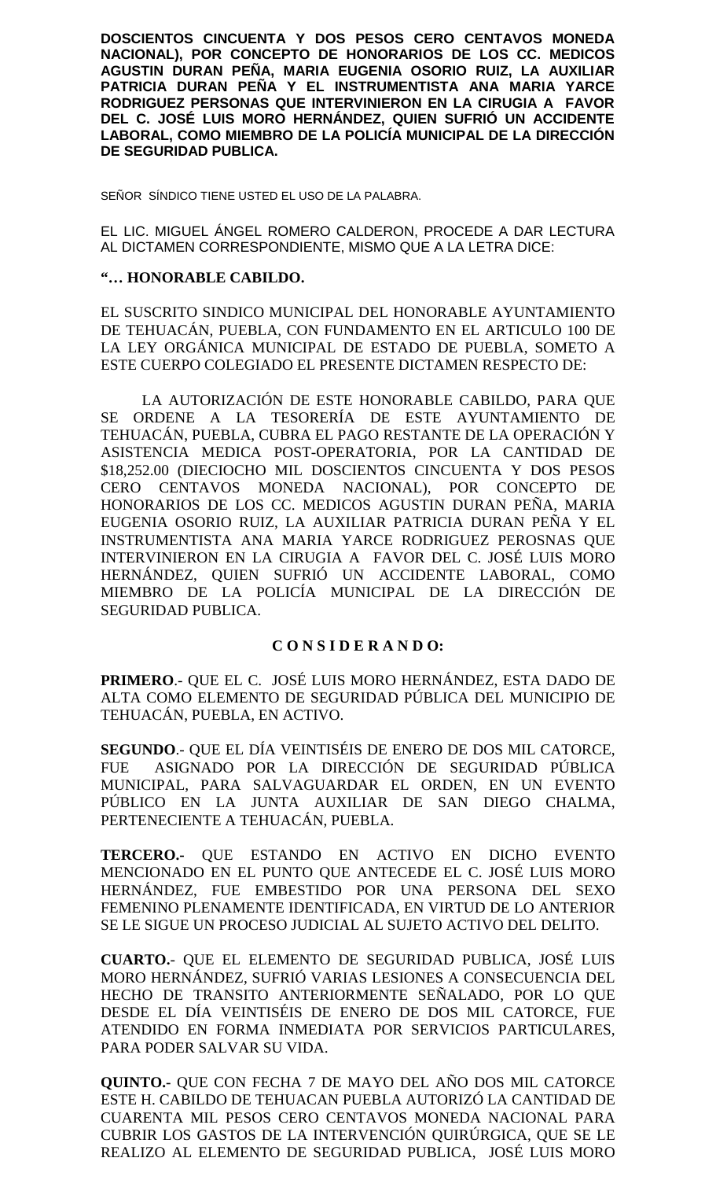**DOSCIENTOS CINCUENTA Y DOS PESOS CERO CENTAVOS MONEDA NACIONAL), POR CONCEPTO DE HONORARIOS DE LOS CC. MEDICOS AGUSTIN DURAN PEÑA, MARIA EUGENIA OSORIO RUIZ, LA AUXILIAR PATRICIA DURAN PEÑA Y EL INSTRUMENTISTA ANA MARIA YARCE RODRIGUEZ PERSONAS QUE INTERVINIERON EN LA CIRUGIA A FAVOR DEL C. JOSÉ LUIS MORO HERNÁNDEZ, QUIEN SUFRIÓ UN ACCIDENTE LABORAL, COMO MIEMBRO DE LA POLICÍA MUNICIPAL DE LA DIRECCIÓN DE SEGURIDAD PUBLICA.**

SEÑOR SÍNDICO TIENE USTED EL USO DE LA PALABRA.

EL LIC. MIGUEL ÁNGEL ROMERO CALDERON, PROCEDE A DAR LECTURA AL DICTAMEN CORRESPONDIENTE, MISMO QUE A LA LETRA DICE:

## **"… HONORABLE CABILDO.**

EL SUSCRITO SINDICO MUNICIPAL DEL HONORABLE AYUNTAMIENTO DE TEHUACÁN, PUEBLA, CON FUNDAMENTO EN EL ARTICULO 100 DE LA LEY ORGÁNICA MUNICIPAL DE ESTADO DE PUEBLA, SOMETO A ESTE CUERPO COLEGIADO EL PRESENTE DICTAMEN RESPECTO DE:

LA AUTORIZACIÓN DE ESTE HONORABLE CABILDO, PARA QUE SE ORDENE A LA TESORERÍA DE ESTE AYUNTAMIENTO DE TEHUACÁN, PUEBLA, CUBRA EL PAGO RESTANTE DE LA OPERACIÓN Y ASISTENCIA MEDICA POST-OPERATORIA, POR LA CANTIDAD DE \$18,252.00 (DIECIOCHO MIL DOSCIENTOS CINCUENTA Y DOS PESOS CERO CENTAVOS MONEDA NACIONAL), POR CONCEPTO DE HONORARIOS DE LOS CC. MEDICOS AGUSTIN DURAN PEÑA, MARIA EUGENIA OSORIO RUIZ, LA AUXILIAR PATRICIA DURAN PEÑA Y EL INSTRUMENTISTA ANA MARIA YARCE RODRIGUEZ PEROSNAS QUE INTERVINIERON EN LA CIRUGIA A FAVOR DEL C. JOSÉ LUIS MORO HERNÁNDEZ, QUIEN SUFRIÓ UN ACCIDENTE LABORAL, COMO MIEMBRO DE LA POLICÍA MUNICIPAL DE LA DIRECCIÓN DE SEGURIDAD PUBLICA.

## **C O N S I D E R A N D O:**

**PRIMERO**.- QUE EL C. JOSÉ LUIS MORO HERNÁNDEZ, ESTA DADO DE ALTA COMO ELEMENTO DE SEGURIDAD PÚBLICA DEL MUNICIPIO DE TEHUACÁN, PUEBLA, EN ACTIVO.

**SEGUNDO**.- QUE EL DÍA VEINTISÉIS DE ENERO DE DOS MIL CATORCE, FUE ASIGNADO POR LA DIRECCIÓN DE SEGURIDAD PÚBLICA MUNICIPAL, PARA SALVAGUARDAR EL ORDEN, EN UN EVENTO PÚBLICO EN LA JUNTA AUXILIAR DE SAN DIEGO CHALMA, PERTENECIENTE A TEHUACÁN, PUEBLA.

**TERCERO.-** QUE ESTANDO EN ACTIVO EN DICHO EVENTO MENCIONADO EN EL PUNTO QUE ANTECEDE EL C. JOSÉ LUIS MORO HERNÁNDEZ, FUE EMBESTIDO POR UNA PERSONA DEL SEXO FEMENINO PLENAMENTE IDENTIFICADA, EN VIRTUD DE LO ANTERIOR SE LE SIGUE UN PROCESO JUDICIAL AL SUJETO ACTIVO DEL DELITO.

**CUARTO.**- QUE EL ELEMENTO DE SEGURIDAD PUBLICA, JOSÉ LUIS MORO HERNÁNDEZ, SUFRIÓ VARIAS LESIONES A CONSECUENCIA DEL HECHO DE TRANSITO ANTERIORMENTE SEÑALADO, POR LO QUE DESDE EL DÍA VEINTISÉIS DE ENERO DE DOS MIL CATORCE, FUE ATENDIDO EN FORMA INMEDIATA POR SERVICIOS PARTICULARES, PARA PODER SALVAR SU VIDA.

**QUINTO.-** QUE CON FECHA 7 DE MAYO DEL AÑO DOS MIL CATORCE ESTE H. CABILDO DE TEHUACAN PUEBLA AUTORIZÓ LA CANTIDAD DE CUARENTA MIL PESOS CERO CENTAVOS MONEDA NACIONAL PARA CUBRIR LOS GASTOS DE LA INTERVENCIÓN QUIRÚRGICA, QUE SE LE REALIZO AL ELEMENTO DE SEGURIDAD PUBLICA, JOSÉ LUIS MORO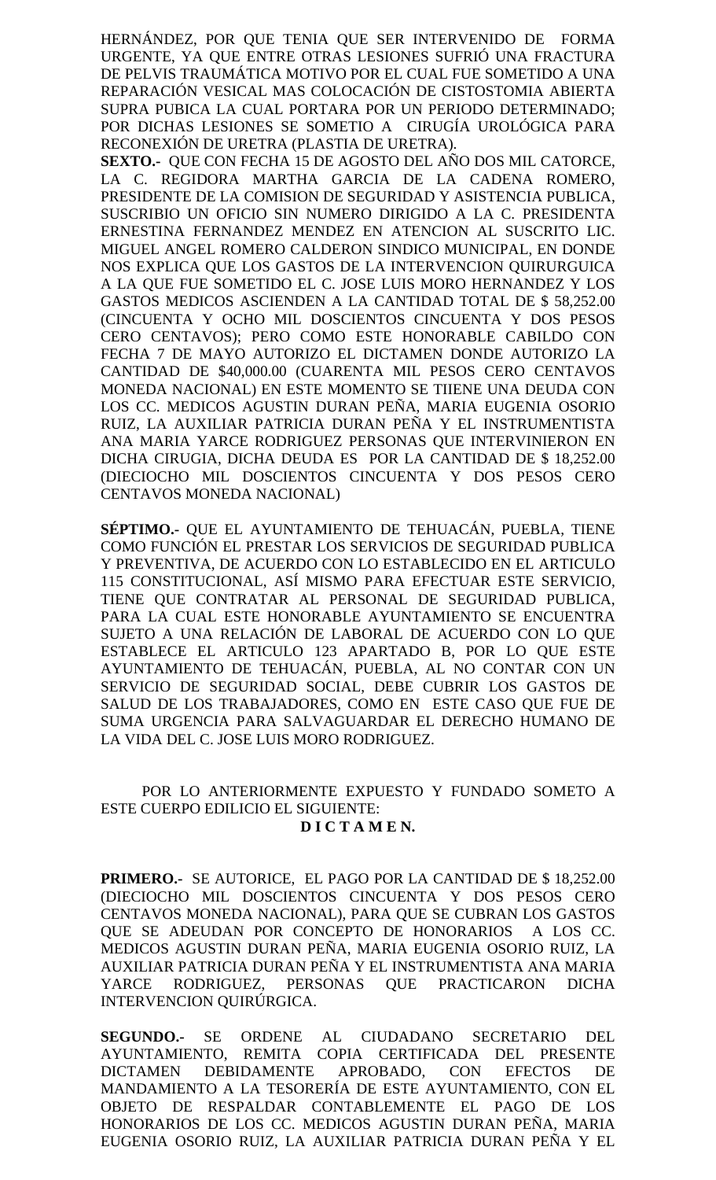HERNÁNDEZ, POR QUE TENIA QUE SER INTERVENIDO DE FORMA URGENTE, YA QUE ENTRE OTRAS LESIONES SUFRIÓ UNA FRACTURA DE PELVIS TRAUMÁTICA MOTIVO POR EL CUAL FUE SOMETIDO A UNA REPARACIÓN VESICAL MAS COLOCACIÓN DE CISTOSTOMIA ABIERTA SUPRA PUBICA LA CUAL PORTARA POR UN PERIODO DETERMINADO; POR DICHAS LESIONES SE SOMETIO A CIRUGÍA UROLÓGICA PARA RECONEXIÓN DE URETRA (PLASTIA DE URETRA).

**SEXTO.-** QUE CON FECHA 15 DE AGOSTO DEL AÑO DOS MIL CATORCE, LA C. REGIDORA MARTHA GARCIA DE LA CADENA ROMERO, PRESIDENTE DE LA COMISION DE SEGURIDAD Y ASISTENCIA PUBLICA, SUSCRIBIO UN OFICIO SIN NUMERO DIRIGIDO A LA C. PRESIDENTA ERNESTINA FERNANDEZ MENDEZ EN ATENCION AL SUSCRITO LIC. MIGUEL ANGEL ROMERO CALDERON SINDICO MUNICIPAL, EN DONDE NOS EXPLICA QUE LOS GASTOS DE LA INTERVENCION QUIRURGUICA A LA QUE FUE SOMETIDO EL C. JOSE LUIS MORO HERNANDEZ Y LOS GASTOS MEDICOS ASCIENDEN A LA CANTIDAD TOTAL DE \$ 58,252.00 (CINCUENTA Y OCHO MIL DOSCIENTOS CINCUENTA Y DOS PESOS CERO CENTAVOS); PERO COMO ESTE HONORABLE CABILDO CON FECHA 7 DE MAYO AUTORIZO EL DICTAMEN DONDE AUTORIZO LA CANTIDAD DE \$40,000.00 (CUARENTA MIL PESOS CERO CENTAVOS MONEDA NACIONAL) EN ESTE MOMENTO SE TIIENE UNA DEUDA CON LOS CC. MEDICOS AGUSTIN DURAN PEÑA, MARIA EUGENIA OSORIO RUIZ, LA AUXILIAR PATRICIA DURAN PEÑA Y EL INSTRUMENTISTA ANA MARIA YARCE RODRIGUEZ PERSONAS QUE INTERVINIERON EN DICHA CIRUGIA, DICHA DEUDA ES POR LA CANTIDAD DE \$ 18,252.00 (DIECIOCHO MIL DOSCIENTOS CINCUENTA Y DOS PESOS CERO CENTAVOS MONEDA NACIONAL)

**SÉPTIMO.-** QUE EL AYUNTAMIENTO DE TEHUACÁN, PUEBLA, TIENE COMO FUNCIÓN EL PRESTAR LOS SERVICIOS DE SEGURIDAD PUBLICA Y PREVENTIVA, DE ACUERDO CON LO ESTABLECIDO EN EL ARTICULO 115 CONSTITUCIONAL, ASÍ MISMO PARA EFECTUAR ESTE SERVICIO, TIENE QUE CONTRATAR AL PERSONAL DE SEGURIDAD PUBLICA, PARA LA CUAL ESTE HONORABLE AYUNTAMIENTO SE ENCUENTRA SUJETO A UNA RELACIÓN DE LABORAL DE ACUERDO CON LO QUE ESTABLECE EL ARTICULO 123 APARTADO B, POR LO QUE ESTE AYUNTAMIENTO DE TEHUACÁN, PUEBLA, AL NO CONTAR CON UN SERVICIO DE SEGURIDAD SOCIAL, DEBE CUBRIR LOS GASTOS DE SALUD DE LOS TRABAJADORES, COMO EN ESTE CASO QUE FUE DE SUMA URGENCIA PARA SALVAGUARDAR EL DERECHO HUMANO DE LA VIDA DEL C. JOSE LUIS MORO RODRIGUEZ.

## POR LO ANTERIORMENTE EXPUESTO Y FUNDADO SOMETO A ESTE CUERPO EDILICIO EL SIGUIENTE: **D I C T A M E N.**

**PRIMERO.-** SE AUTORICE, EL PAGO POR LA CANTIDAD DE \$ 18,252.00 (DIECIOCHO MIL DOSCIENTOS CINCUENTA Y DOS PESOS CERO CENTAVOS MONEDA NACIONAL), PARA QUE SE CUBRAN LOS GASTOS QUE SE ADEUDAN POR CONCEPTO DE HONORARIOS A LOS CC. MEDICOS AGUSTIN DURAN PEÑA, MARIA EUGENIA OSORIO RUIZ, LA AUXILIAR PATRICIA DURAN PEÑA Y EL INSTRUMENTISTA ANA MARIA YARCE RODRIGUEZ, PERSONAS QUE PRACTICARON DICHA INTERVENCION QUIRÚRGICA.

**SEGUNDO.-** SE ORDENE AL CIUDADANO SECRETARIO DEL AYUNTAMIENTO, REMITA COPIA CERTIFICADA DEL PRESENTE DICTAMEN DEBIDAMENTE APROBADO, CON EFECTOS DE MANDAMIENTO A LA TESORERÍA DE ESTE AYUNTAMIENTO, CON EL OBJETO DE RESPALDAR CONTABLEMENTE EL PAGO DE LOS HONORARIOS DE LOS CC. MEDICOS AGUSTIN DURAN PEÑA, MARIA EUGENIA OSORIO RUIZ, LA AUXILIAR PATRICIA DURAN PEÑA Y EL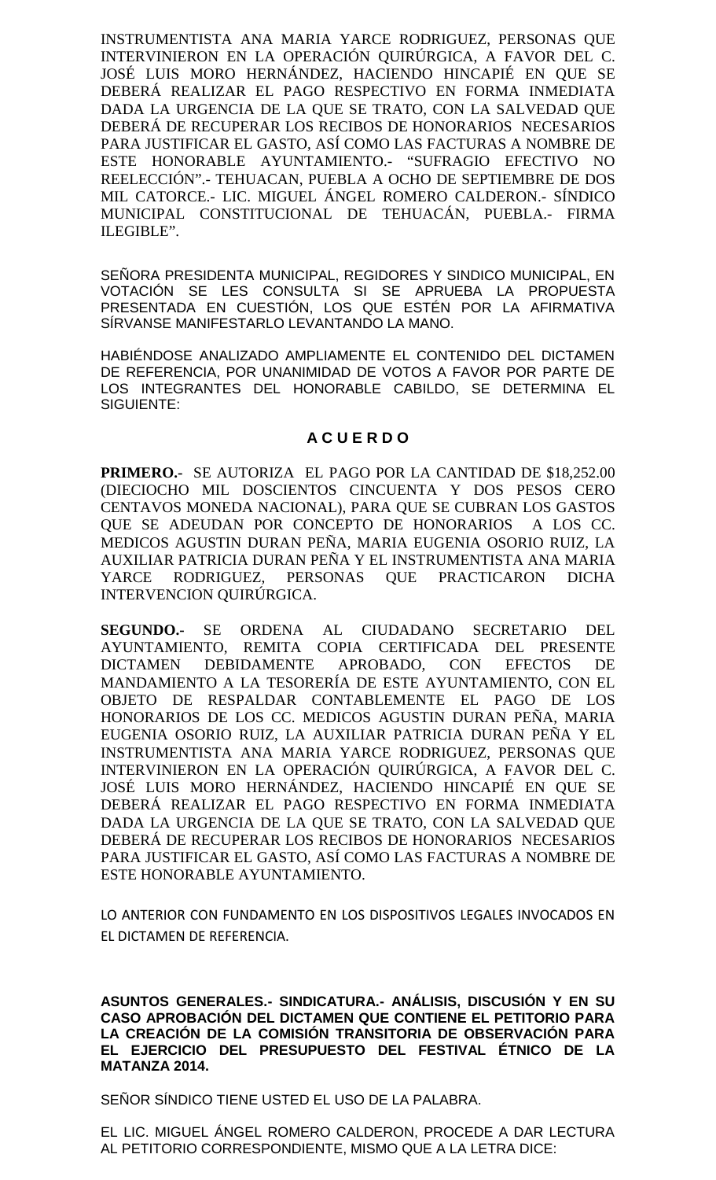INSTRUMENTISTA ANA MARIA YARCE RODRIGUEZ, PERSONAS QUE INTERVINIERON EN LA OPERACIÓN QUIRÚRGICA, A FAVOR DEL C. JOSÉ LUIS MORO HERNÁNDEZ, HACIENDO HINCAPIÉ EN QUE SE DEBERÁ REALIZAR EL PAGO RESPECTIVO EN FORMA INMEDIATA DADA LA URGENCIA DE LA QUE SE TRATO, CON LA SALVEDAD QUE DEBERÁ DE RECUPERAR LOS RECIBOS DE HONORARIOS NECESARIOS PARA JUSTIFICAR EL GASTO, ASÍ COMO LAS FACTURAS A NOMBRE DE ESTE HONORABLE AYUNTAMIENTO.- "SUFRAGIO EFECTIVO NO REELECCIÓN".- TEHUACAN, PUEBLA A OCHO DE SEPTIEMBRE DE DOS MIL CATORCE.- LIC. MIGUEL ÁNGEL ROMERO CALDERON.- SÍNDICO MUNICIPAL CONSTITUCIONAL DE TEHUACÁN, PUEBLA.- FIRMA ILEGIBLE".

SEÑORA PRESIDENTA MUNICIPAL, REGIDORES Y SINDICO MUNICIPAL, EN VOTACIÓN SE LES CONSULTA SI SE APRUEBA LA PROPUESTA PRESENTADA EN CUESTIÓN, LOS QUE ESTÉN POR LA AFIRMATIVA SÍRVANSE MANIFESTARLO LEVANTANDO LA MANO.

HABIÉNDOSE ANALIZADO AMPLIAMENTE EL CONTENIDO DEL DICTAMEN DE REFERENCIA, POR UNANIMIDAD DE VOTOS A FAVOR POR PARTE DE LOS INTEGRANTES DEL HONORABLE CABILDO, SE DETERMINA EL SIGUIENTE:

## **A C U E R D O**

**PRIMERO.-** SE AUTORIZA EL PAGO POR LA CANTIDAD DE \$18,252.00 (DIECIOCHO MIL DOSCIENTOS CINCUENTA Y DOS PESOS CERO CENTAVOS MONEDA NACIONAL), PARA QUE SE CUBRAN LOS GASTOS QUE SE ADEUDAN POR CONCEPTO DE HONORARIOS A LOS CC. MEDICOS AGUSTIN DURAN PEÑA, MARIA EUGENIA OSORIO RUIZ, LA AUXILIAR PATRICIA DURAN PEÑA Y EL INSTRUMENTISTA ANA MARIA YARCE RODRIGUEZ, PERSONAS QUE PRACTICARON DICHA INTERVENCION QUIRÚRGICA.

**SEGUNDO.-** SE ORDENA AL CIUDADANO SECRETARIO DEL AYUNTAMIENTO, REMITA COPIA CERTIFICADA DEL PRESENTE DICTAMEN DEBIDAMENTE APROBADO, CON EFECTOS DE MANDAMIENTO A LA TESORERÍA DE ESTE AYUNTAMIENTO, CON EL OBJETO DE RESPALDAR CONTABLEMENTE EL PAGO DE LOS HONORARIOS DE LOS CC. MEDICOS AGUSTIN DURAN PEÑA, MARIA EUGENIA OSORIO RUIZ, LA AUXILIAR PATRICIA DURAN PEÑA Y EL INSTRUMENTISTA ANA MARIA YARCE RODRIGUEZ, PERSONAS QUE INTERVINIERON EN LA OPERACIÓN QUIRÚRGICA, A FAVOR DEL C. JOSÉ LUIS MORO HERNÁNDEZ, HACIENDO HINCAPIÉ EN QUE SE DEBERÁ REALIZAR EL PAGO RESPECTIVO EN FORMA INMEDIATA DADA LA URGENCIA DE LA QUE SE TRATO, CON LA SALVEDAD QUE DEBERÁ DE RECUPERAR LOS RECIBOS DE HONORARIOS NECESARIOS PARA JUSTIFICAR EL GASTO, ASÍ COMO LAS FACTURAS A NOMBRE DE ESTE HONORABLE AYUNTAMIENTO.

LO ANTERIOR CON FUNDAMENTO EN LOS DISPOSITIVOS LEGALES INVOCADOS EN EL DICTAMEN DE REFERENCIA.

**ASUNTOS GENERALES.- SINDICATURA.- ANÁLISIS, DISCUSIÓN Y EN SU CASO APROBACIÓN DEL DICTAMEN QUE CONTIENE EL PETITORIO PARA LA CREACIÓN DE LA COMISIÓN TRANSITORIA DE OBSERVACIÓN PARA EL EJERCICIO DEL PRESUPUESTO DEL FESTIVAL ÉTNICO DE LA MATANZA 2014.**

SEÑOR SÍNDICO TIENE USTED EL USO DE LA PALABRA.

EL LIC. MIGUEL ÁNGEL ROMERO CALDERON, PROCEDE A DAR LECTURA AL PETITORIO CORRESPONDIENTE, MISMO QUE A LA LETRA DICE: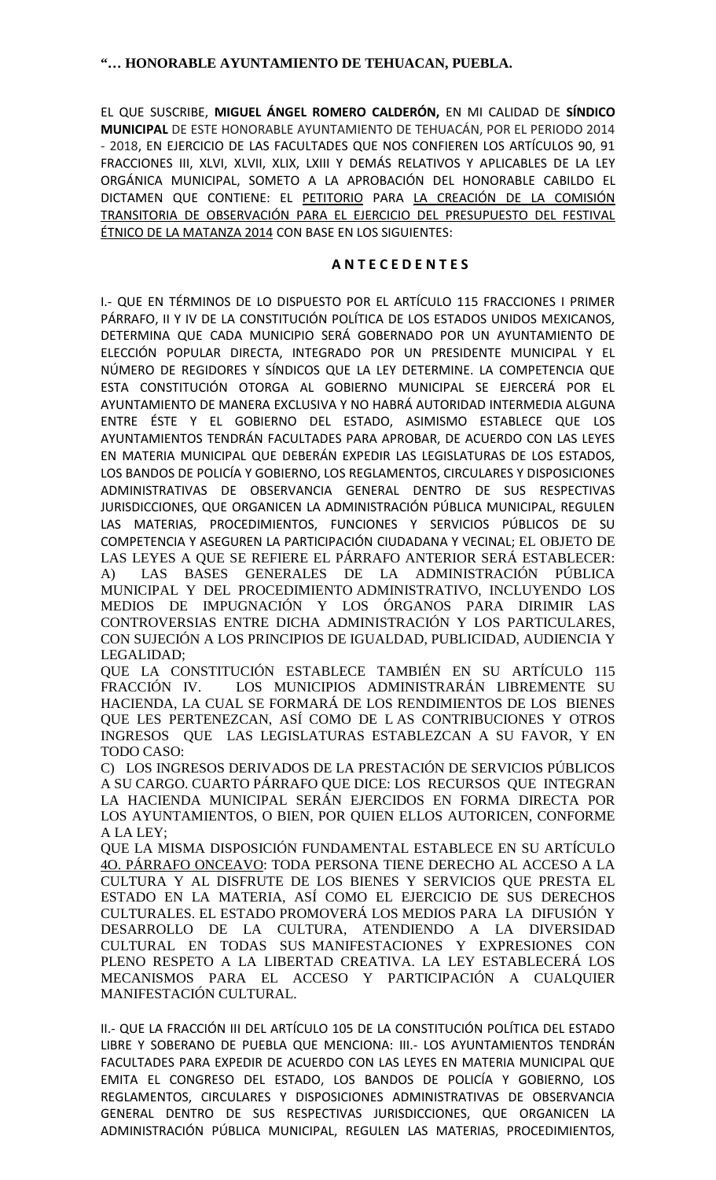EL QUE SUSCRIBE, **MIGUEL ÁNGEL ROMERO CALDERÓN,** EN MI CALIDAD DE **SÍNDICO MUNICIPAL** DE ESTE HONORABLE AYUNTAMIENTO DE TEHUACÁN, POR EL PERIODO 2014 - 2018, EN EJERCICIO DE LAS FACULTADES QUE NOS CONFIEREN LOS ARTÍCULOS 90, 91 FRACCIONES III, XLVI, XLVII, XLIX, LXIII Y DEMÁS RELATIVOS Y APLICABLES DE LA LEY ORGÁNICA MUNICIPAL, SOMETO A LA APROBACIÓN DEL HONORABLE CABILDO EL DICTAMEN QUE CONTIENE: EL PETITORIO PARA LA CREACIÓN DE LA COMISIÓN TRANSITORIA DE OBSERVACIÓN PARA EL EJERCICIO DEL PRESUPUESTO DEL FESTIVAL ÉTNICO DE LA MATANZA 2014 CON BASE EN LOS SIGUIENTES:

## **A N T E C E D E N T E S**

I.- QUE EN TÉRMINOS DE LO DISPUESTO POR EL ARTÍCULO 115 FRACCIONES I PRIMER PÁRRAFO, II Y IV DE LA CONSTITUCIÓN POLÍTICA DE LOS ESTADOS UNIDOS MEXICANOS, DETERMINA QUE CADA MUNICIPIO SERÁ GOBERNADO POR UN AYUNTAMIENTO DE ELECCIÓN POPULAR DIRECTA, INTEGRADO POR UN PRESIDENTE MUNICIPAL Y EL NÚMERO DE REGIDORES Y SÍNDICOS QUE LA LEY DETERMINE. LA COMPETENCIA QUE ESTA CONSTITUCIÓN OTORGA AL GOBIERNO MUNICIPAL SE EJERCERÁ POR EL AYUNTAMIENTO DE MANERA EXCLUSIVA Y NO HABRÁ AUTORIDAD INTERMEDIA ALGUNA ENTRE ÉSTE Y EL GOBIERNO DEL ESTADO, ASIMISMO ESTABLECE QUE LOS AYUNTAMIENTOS TENDRÁN FACULTADES PARA APROBAR, DE ACUERDO CON LAS LEYES EN MATERIA MUNICIPAL QUE DEBERÁN EXPEDIR LAS LEGISLATURAS DE LOS ESTADOS, LOS BANDOS DE POLICÍA Y GOBIERNO, LOS REGLAMENTOS, CIRCULARES Y DISPOSICIONES ADMINISTRATIVAS DE OBSERVANCIA GENERAL DENTRO DE SUS RESPECTIVAS JURISDICCIONES, QUE ORGANICEN LA ADMINISTRACIÓN PÚBLICA MUNICIPAL, REGULEN LAS MATERIAS, PROCEDIMIENTOS, FUNCIONES Y SERVICIOS PÚBLICOS DE SU COMPETENCIA Y ASEGUREN LA PARTICIPACIÓN CIUDADANA Y VECINAL; EL OBJETO DE LAS LEYES A QUE SE REFIERE EL PÁRRAFO ANTERIOR SERÁ ESTABLECER: A) LAS BASES GENERALES DE LA ADMINISTRACIÓN PÚBLICA MUNICIPAL Y DEL PROCEDIMIENTO ADMINISTRATIVO, INCLUYENDO LOS MEDIOS DE IMPUGNACIÓN Y LOS ÓRGANOS PARA DIRIMIR LAS CONTROVERSIAS ENTRE DICHA ADMINISTRACIÓN Y LOS PARTICULARES, CON SUJECIÓN A LOS PRINCIPIOS DE IGUALDAD, PUBLICIDAD, AUDIENCIA Y LEGALIDAD;

QUE LA CONSTITUCIÓN ESTABLECE TAMBIÉN EN SU ARTÍCULO 115 FRACCIÓN IV. LOS MUNICIPIOS ADMINISTRARÁN LIBREMENTE SU HACIENDA, LA CUAL SE FORMARÁ DE LOS RENDIMIENTOS DE LOS BIENES QUE LES PERTENEZCAN, ASÍ COMO DE L AS CONTRIBUCIONES Y OTROS INGRESOS QUE LAS LEGISLATURAS ESTABLEZCAN A SU FAVOR, Y EN TODO CASO:

C) LOS INGRESOS DERIVADOS DE LA PRESTACIÓN DE SERVICIOS PÚBLICOS A SU CARGO. CUARTO PÁRRAFO QUE DICE: LOS RECURSOS QUE INTEGRAN LA HACIENDA MUNICIPAL SERÁN EJERCIDOS EN FORMA DIRECTA POR LOS AYUNTAMIENTOS, O BIEN, POR QUIEN ELLOS AUTORICEN, CONFORME A LA LEY;

QUE LA MISMA DISPOSICIÓN FUNDAMENTAL ESTABLECE EN SU ARTÍCULO 4O. PÁRRAFO ONCEAVO: TODA PERSONA TIENE DERECHO AL ACCESO A LA CULTURA Y AL DISFRUTE DE LOS BIENES Y SERVICIOS QUE PRESTA EL ESTADO EN LA MATERIA, ASÍ COMO EL EJERCICIO DE SUS DERECHOS CULTURALES. EL ESTADO PROMOVERÁ LOS MEDIOS PARA LA DIFUSIÓN Y DESARROLLO DE LA CULTURA, ATENDIENDO A LA DIVERSIDAD CULTURAL EN TODAS SUS MANIFESTACIONES Y EXPRESIONES CON PLENO RESPETO A LA LIBERTAD CREATIVA. LA LEY ESTABLECERÁ LOS MECANISMOS PARA EL ACCESO Y PARTICIPACIÓN A CUALQUIER MANIFESTACIÓN CULTURAL.

II.- QUE LA FRACCIÓN III DEL ARTÍCULO 105 DE LA CONSTITUCIÓN POLÍTICA DEL ESTADO LIBRE Y SOBERANO DE PUEBLA QUE MENCIONA: III.- LOS AYUNTAMIENTOS TENDRÁN FACULTADES PARA EXPEDIR DE ACUERDO CON LAS LEYES EN MATERIA MUNICIPAL QUE EMITA EL CONGRESO DEL ESTADO, LOS BANDOS DE POLICÍA Y GOBIERNO, LOS REGLAMENTOS, CIRCULARES Y DISPOSICIONES ADMINISTRATIVAS DE OBSERVANCIA GENERAL DENTRO DE SUS RESPECTIVAS JURISDICCIONES, QUE ORGANICEN LA ADMINISTRACIÓN PÚBLICA MUNICIPAL, REGULEN LAS MATERIAS, PROCEDIMIENTOS,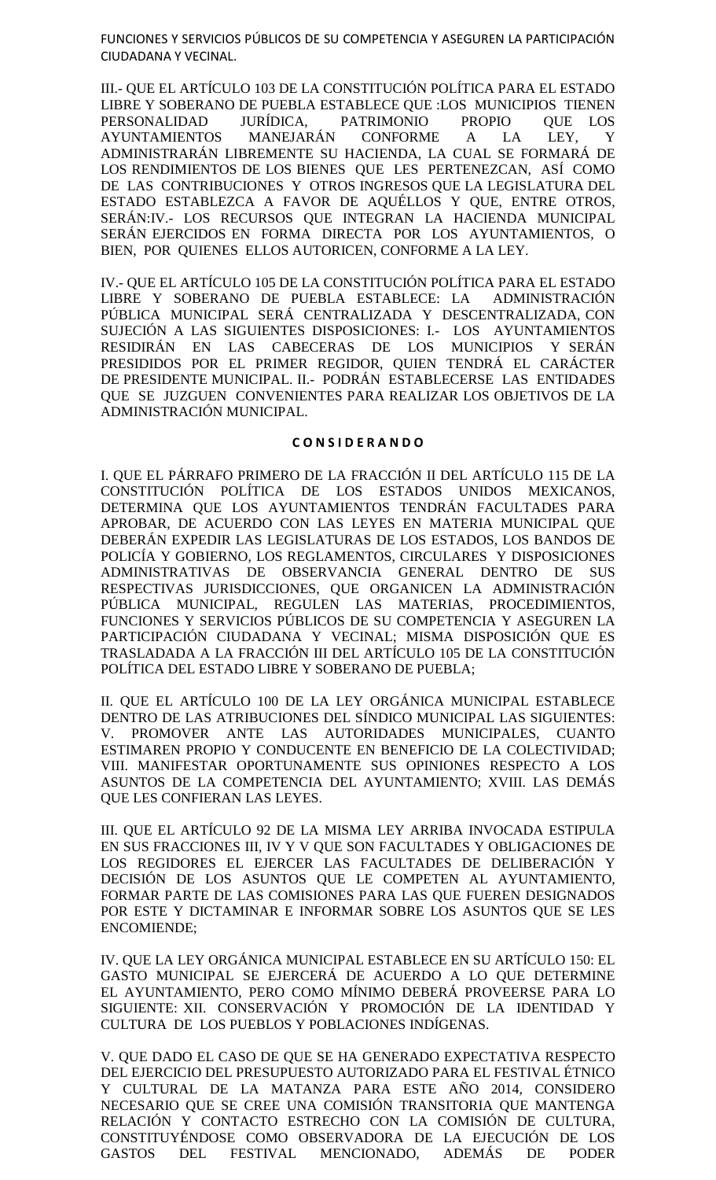FUNCIONES Y SERVICIOS PÚBLICOS DE SU COMPETENCIA Y ASEGUREN LA PARTICIPACIÓN CIUDADANA Y VECINAL.

III.- QUE EL ARTÍCULO 103 DE LA CONSTITUCIÓN POLÍTICA PARA EL ESTADO LIBRE Y SOBERANO DE PUEBLA ESTABLECE QUE :LOS MUNICIPIOS TIENEN PERSONALIDAD JURÍDICA, PATRIMONIO PROPIO QUE LOS AYUNTAMIENTOS MANEJARÁN CONFORME A LA LEY, Y ADMINISTRARÁN LIBREMENTE SU HACIENDA, LA CUAL SE FORMARÁ DE LOS RENDIMIENTOS DE LOS BIENES QUE LES PERTENEZCAN, ASÍ COMO DE LAS CONTRIBUCIONES Y OTROS INGRESOS QUE LA LEGISLATURA DEL ESTADO ESTABLEZCA A FAVOR DE AQUÉLLOS Y QUE, ENTRE OTROS, SERÁN:IV.- LOS RECURSOS QUE INTEGRAN LA HACIENDA MUNICIPAL SERÁN EJERCIDOS EN FORMA DIRECTA POR LOS AYUNTAMIENTOS, O BIEN, POR QUIENES ELLOS AUTORICEN, CONFORME A LA LEY.

IV.- QUE EL ARTÍCULO 105 DE LA CONSTITUCIÓN POLÍTICA PARA EL ESTADO LIBRE Y SOBERANO DE PUEBLA ESTABLECE: LA ADMINISTRACIÓN PÚBLICA MUNICIPAL SERÁ CENTRALIZADA Y DESCENTRALIZADA, CON SUJECIÓN A LAS SIGUIENTES DISPOSICIONES: I.- LOS AYUNTAMIENTOS RESIDIRÁN EN LAS CABECERAS DE LOS MUNICIPIOS Y SERÁN PRESIDIDOS POR EL PRIMER REGIDOR, QUIEN TENDRÁ EL CARÁCTER DE PRESIDENTE MUNICIPAL. II.- PODRÁN ESTABLECERSE LAS ENTIDADES QUE SE JUZGUEN CONVENIENTES PARA REALIZAR LOS OBJETIVOS DE LA ADMINISTRACIÓN MUNICIPAL.

#### **C O N S I D E R A N D O**

I. QUE EL PÁRRAFO PRIMERO DE LA FRACCIÓN II DEL ARTÍCULO 115 DE LA CONSTITUCIÓN POLÍTICA DE LOS ESTADOS UNIDOS MEXICANOS, DETERMINA QUE LOS AYUNTAMIENTOS TENDRÁN FACULTADES PARA APROBAR, DE ACUERDO CON LAS LEYES EN MATERIA MUNICIPAL QUE DEBERÁN EXPEDIR LAS LEGISLATURAS DE LOS ESTADOS, LOS BANDOS DE POLICÍA Y GOBIERNO, LOS REGLAMENTOS, CIRCULARES Y DISPOSICIONES ADMINISTRATIVAS DE OBSERVANCIA GENERAL DENTRO DE SUS RESPECTIVAS JURISDICCIONES, QUE ORGANICEN LA ADMINISTRACIÓN PÚBLICA MUNICIPAL, REGULEN LAS MATERIAS, PROCEDIMIENTOS, FUNCIONES Y SERVICIOS PÚBLICOS DE SU COMPETENCIA Y ASEGUREN LA PARTICIPACIÓN CIUDADANA Y VECINAL; MISMA DISPOSICIÓN QUE ES TRASLADADA A LA FRACCIÓN III DEL ARTÍCULO 105 DE LA CONSTITUCIÓN POLÍTICA DEL ESTADO LIBRE Y SOBERANO DE PUEBLA;

II. QUE EL ARTÍCULO 100 DE LA LEY ORGÁNICA MUNICIPAL ESTABLECE DENTRO DE LAS ATRIBUCIONES DEL SÍNDICO MUNICIPAL LAS SIGUIENTES: V. PROMOVER ANTE LAS AUTORIDADES MUNICIPALES, CUANTO ESTIMAREN PROPIO Y CONDUCENTE EN BENEFICIO DE LA COLECTIVIDAD; VIII. MANIFESTAR OPORTUNAMENTE SUS OPINIONES RESPECTO A LOS ASUNTOS DE LA COMPETENCIA DEL AYUNTAMIENTO; XVIII. LAS DEMÁS QUE LES CONFIERAN LAS LEYES.

III. QUE EL ARTÍCULO 92 DE LA MISMA LEY ARRIBA INVOCADA ESTIPULA EN SUS FRACCIONES III, IV Y V QUE SON FACULTADES Y OBLIGACIONES DE LOS REGIDORES EL EJERCER LAS FACULTADES DE DELIBERACIÓN Y DECISIÓN DE LOS ASUNTOS QUE LE COMPETEN AL AYUNTAMIENTO, FORMAR PARTE DE LAS COMISIONES PARA LAS QUE FUEREN DESIGNADOS POR ESTE Y DICTAMINAR E INFORMAR SOBRE LOS ASUNTOS QUE SE LES ENCOMIENDE;

IV. QUE LA LEY ORGÁNICA MUNICIPAL ESTABLECE EN SU ARTÍCULO 150: EL GASTO MUNICIPAL SE EJERCERÁ DE ACUERDO A LO QUE DETERMINE EL AYUNTAMIENTO, PERO COMO MÍNIMO DEBERÁ PROVEERSE PARA LO SIGUIENTE: XII. CONSERVACIÓN Y PROMOCIÓN DE LA IDENTIDAD Y CULTURA DE LOS PUEBLOS Y POBLACIONES INDÍGENAS.

V. QUE DADO EL CASO DE QUE SE HA GENERADO EXPECTATIVA RESPECTO DEL EJERCICIO DEL PRESUPUESTO AUTORIZADO PARA EL FESTIVAL ÉTNICO Y CULTURAL DE LA MATANZA PARA ESTE AÑO 2014, CONSIDERO NECESARIO QUE SE CREE UNA COMISIÓN TRANSITORIA QUE MANTENGA RELACIÓN Y CONTACTO ESTRECHO CON LA COMISIÓN DE CULTURA, CONSTITUYÉNDOSE COMO OBSERVADORA DE LA EJECUCIÓN DE LOS GASTOS DEL FESTIVAL MENCIONADO, ADEMÁS DE PODER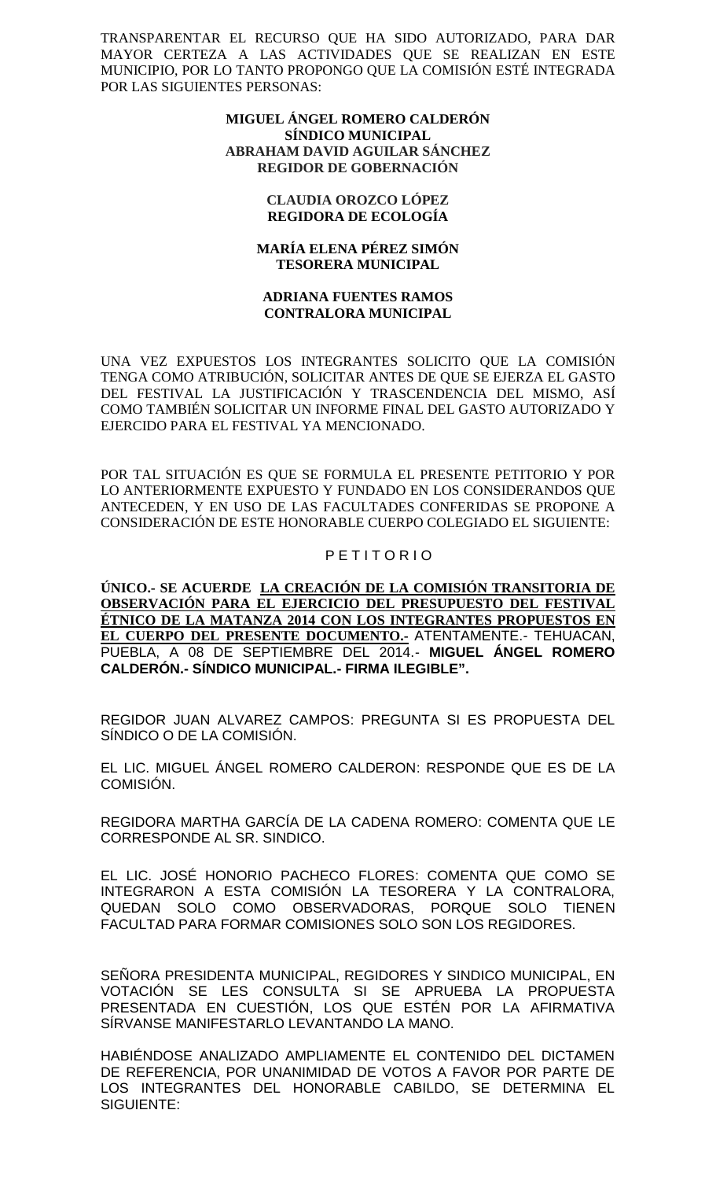TRANSPARENTAR EL RECURSO QUE HA SIDO AUTORIZADO, PARA DAR MAYOR CERTEZA A LAS ACTIVIDADES QUE SE REALIZAN EN ESTE MUNICIPIO, POR LO TANTO PROPONGO QUE LA COMISIÓN ESTÉ INTEGRADA POR LAS SIGUIENTES PERSONAS:

### **MIGUEL ÁNGEL ROMERO CALDERÓN SÍNDICO MUNICIPAL ABRAHAM DAVID AGUILAR SÁNCHEZ REGIDOR DE GOBERNACIÓN**

#### **CLAUDIA OROZCO LÓPEZ REGIDORA DE ECOLOGÍA**

#### **MARÍA ELENA PÉREZ SIMÓN TESORERA MUNICIPAL**

### **ADRIANA FUENTES RAMOS CONTRALORA MUNICIPAL**

UNA VEZ EXPUESTOS LOS INTEGRANTES SOLICITO QUE LA COMISIÓN TENGA COMO ATRIBUCIÓN, SOLICITAR ANTES DE QUE SE EJERZA EL GASTO DEL FESTIVAL LA JUSTIFICACIÓN Y TRASCENDENCIA DEL MISMO, ASÍ COMO TAMBIÉN SOLICITAR UN INFORME FINAL DEL GASTO AUTORIZADO Y EJERCIDO PARA EL FESTIVAL YA MENCIONADO.

POR TAL SITUACIÓN ES QUE SE FORMULA EL PRESENTE PETITORIO Y POR LO ANTERIORMENTE EXPUESTO Y FUNDADO EN LOS CONSIDERANDOS QUE ANTECEDEN, Y EN USO DE LAS FACULTADES CONFERIDAS SE PROPONE A CONSIDERACIÓN DE ESTE HONORABLE CUERPO COLEGIADO EL SIGUIENTE:

## P E T I T O R I O

**ÚNICO.- SE ACUERDE LA CREACIÓN DE LA COMISIÓN TRANSITORIA DE OBSERVACIÓN PARA EL EJERCICIO DEL PRESUPUESTO DEL FESTIVAL ÉTNICO DE LA MATANZA 2014 CON LOS INTEGRANTES PROPUESTOS EN EL CUERPO DEL PRESENTE DOCUMENTO.-** ATENTAMENTE.- TEHUACAN, PUEBLA, A 08 DE SEPTIEMBRE DEL 2014.- **MIGUEL ÁNGEL ROMERO CALDERÓN.- SÍNDICO MUNICIPAL.- FIRMA ILEGIBLE".**

REGIDOR JUAN ALVAREZ CAMPOS: PREGUNTA SI ES PROPUESTA DEL SÍNDICO O DE LA COMISIÓN.

EL LIC. MIGUEL ÁNGEL ROMERO CALDERON: RESPONDE QUE ES DE LA COMISIÓN.

REGIDORA MARTHA GARCÍA DE LA CADENA ROMERO: COMENTA QUE LE CORRESPONDE AL SR. SINDICO.

EL LIC. JOSÉ HONORIO PACHECO FLORES: COMENTA QUE COMO SE INTEGRARON A ESTA COMISIÓN LA TESORERA Y LA CONTRALORA, QUEDAN SOLO COMO OBSERVADORAS, PORQUE SOLO TIENEN FACULTAD PARA FORMAR COMISIONES SOLO SON LOS REGIDORES.

SEÑORA PRESIDENTA MUNICIPAL, REGIDORES Y SINDICO MUNICIPAL, EN VOTACIÓN SE LES CONSULTA SI SE APRUEBA LA PROPUESTA PRESENTADA EN CUESTIÓN, LOS QUE ESTÉN POR LA AFIRMATIVA SÍRVANSE MANIFESTARLO LEVANTANDO LA MANO.

HABIÉNDOSE ANALIZADO AMPLIAMENTE EL CONTENIDO DEL DICTAMEN DE REFERENCIA, POR UNANIMIDAD DE VOTOS A FAVOR POR PARTE DE LOS INTEGRANTES DEL HONORABLE CABILDO, SE DETERMINA EL SIGUIENTE: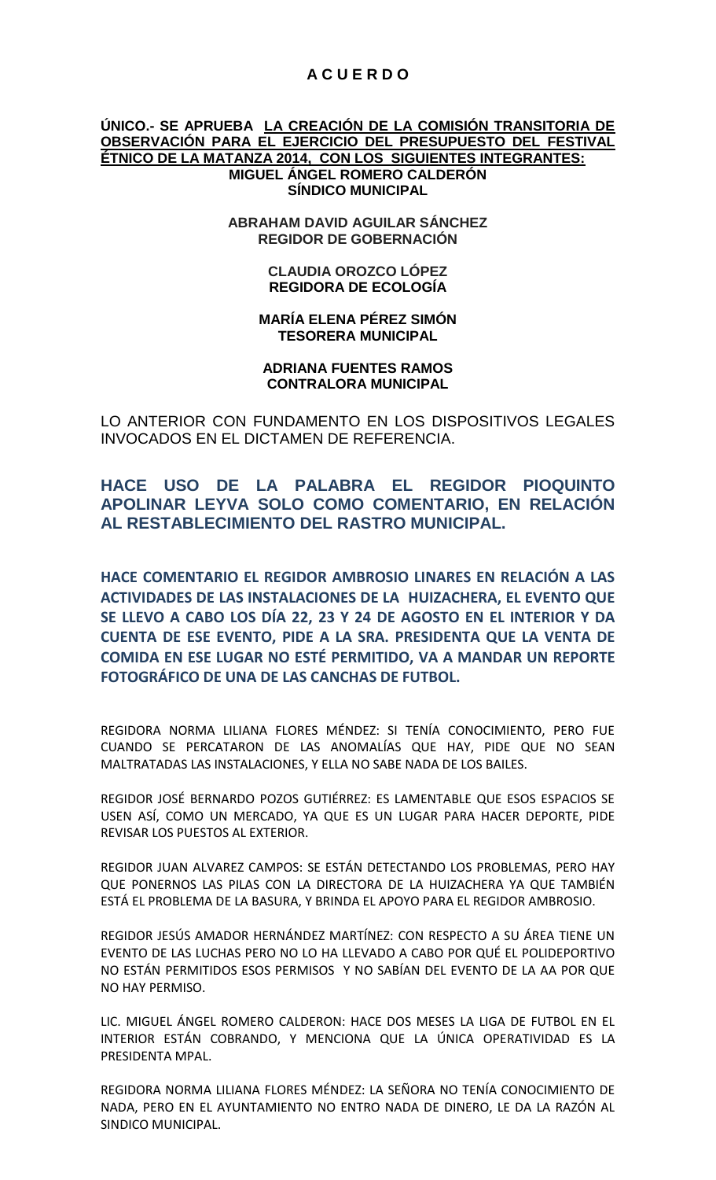## **A C U E R D O**

## **ÚNICO.- SE APRUEBA LA CREACIÓN DE LA COMISIÓN TRANSITORIA DE OBSERVACIÓN PARA EL EJERCICIO DEL PRESUPUESTO DEL FESTIVAL ÉTNICO DE LA MATANZA 2014, CON LOS SIGUIENTES INTEGRANTES: MIGUEL ÁNGEL ROMERO CALDERÓN SÍNDICO MUNICIPAL**

**ABRAHAM DAVID AGUILAR SÁNCHEZ REGIDOR DE GOBERNACIÓN**

### **CLAUDIA OROZCO LÓPEZ REGIDORA DE ECOLOGÍA**

## **MARÍA ELENA PÉREZ SIMÓN TESORERA MUNICIPAL**

### **ADRIANA FUENTES RAMOS CONTRALORA MUNICIPAL**

LO ANTERIOR CON FUNDAMENTO EN LOS DISPOSITIVOS LEGALES INVOCADOS EN EL DICTAMEN DE REFERENCIA.

# **HACE USO DE LA PALABRA EL REGIDOR PIOQUINTO APOLINAR LEYVA SOLO COMO COMENTARIO, EN RELACIÓN AL RESTABLECIMIENTO DEL RASTRO MUNICIPAL.**

**HACE COMENTARIO EL REGIDOR AMBROSIO LINARES EN RELACIÓN A LAS ACTIVIDADES DE LAS INSTALACIONES DE LA HUIZACHERA, EL EVENTO QUE SE LLEVO A CABO LOS DÍA 22, 23 Y 24 DE AGOSTO EN EL INTERIOR Y DA CUENTA DE ESE EVENTO, PIDE A LA SRA. PRESIDENTA QUE LA VENTA DE COMIDA EN ESE LUGAR NO ESTÉ PERMITIDO, VA A MANDAR UN REPORTE FOTOGRÁFICO DE UNA DE LAS CANCHAS DE FUTBOL.**

REGIDORA NORMA LILIANA FLORES MÉNDEZ: SI TENÍA CONOCIMIENTO, PERO FUE CUANDO SE PERCATARON DE LAS ANOMALÍAS QUE HAY, PIDE QUE NO SEAN MALTRATADAS LAS INSTALACIONES, Y ELLA NO SABE NADA DE LOS BAILES.

REGIDOR JOSÉ BERNARDO POZOS GUTIÉRREZ: ES LAMENTABLE QUE ESOS ESPACIOS SE USEN ASÍ, COMO UN MERCADO, YA QUE ES UN LUGAR PARA HACER DEPORTE, PIDE REVISAR LOS PUESTOS AL EXTERIOR.

REGIDOR JUAN ALVAREZ CAMPOS: SE ESTÁN DETECTANDO LOS PROBLEMAS, PERO HAY QUE PONERNOS LAS PILAS CON LA DIRECTORA DE LA HUIZACHERA YA QUE TAMBIÉN ESTÁ EL PROBLEMA DE LA BASURA, Y BRINDA EL APOYO PARA EL REGIDOR AMBROSIO.

REGIDOR JESÚS AMADOR HERNÁNDEZ MARTÍNEZ: CON RESPECTO A SU ÁREA TIENE UN EVENTO DE LAS LUCHAS PERO NO LO HA LLEVADO A CABO POR QUÉ EL POLIDEPORTIVO NO ESTÁN PERMITIDOS ESOS PERMISOS Y NO SABÍAN DEL EVENTO DE LA AA POR QUE NO HAY PERMISO.

LIC. MIGUEL ÁNGEL ROMERO CALDERON: HACE DOS MESES LA LIGA DE FUTBOL EN EL INTERIOR ESTÁN COBRANDO, Y MENCIONA QUE LA ÚNICA OPERATIVIDAD ES LA PRESIDENTA MPAL.

REGIDORA NORMA LILIANA FLORES MÉNDEZ: LA SEÑORA NO TENÍA CONOCIMIENTO DE NADA, PERO EN EL AYUNTAMIENTO NO ENTRO NADA DE DINERO, LE DA LA RAZÓN AL SINDICO MUNICIPAL.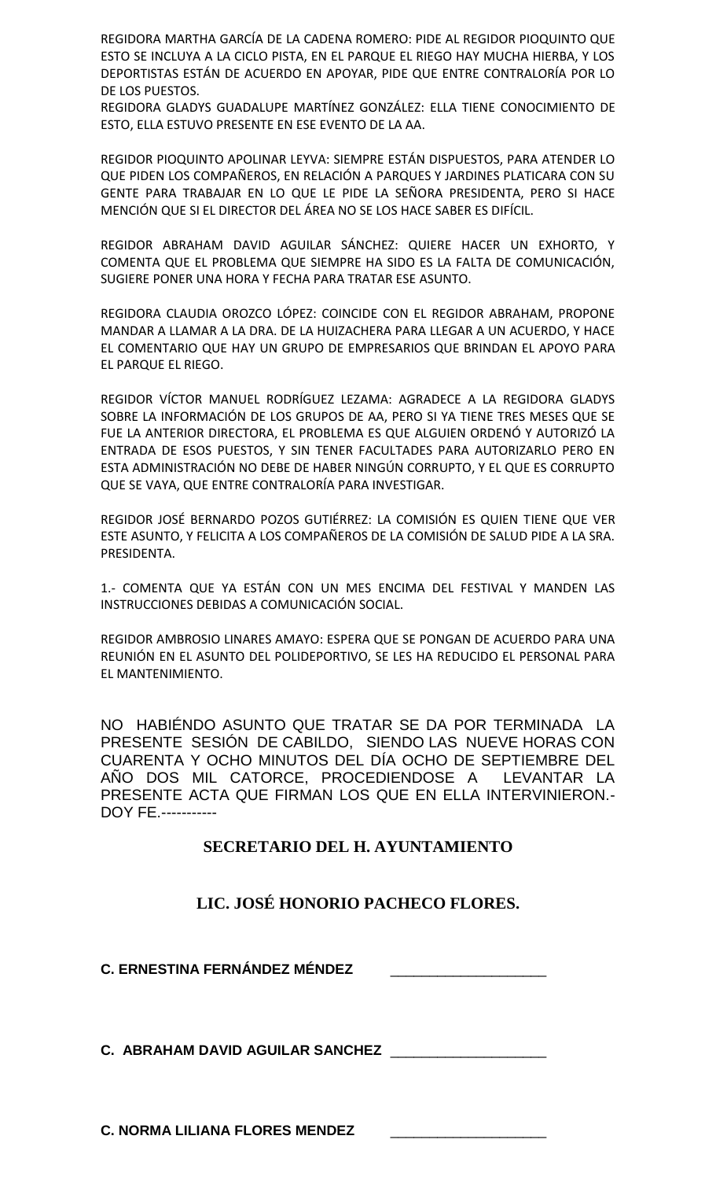REGIDORA MARTHA GARCÍA DE LA CADENA ROMERO: PIDE AL REGIDOR PIOQUINTO QUE ESTO SE INCLUYA A LA CICLO PISTA, EN EL PARQUE EL RIEGO HAY MUCHA HIERBA, Y LOS DEPORTISTAS ESTÁN DE ACUERDO EN APOYAR, PIDE QUE ENTRE CONTRALORÍA POR LO DE LOS PUESTOS.

REGIDORA GLADYS GUADALUPE MARTÍNEZ GONZÁLEZ: ELLA TIENE CONOCIMIENTO DE ESTO, ELLA ESTUVO PRESENTE EN ESE EVENTO DE LA AA.

REGIDOR PIOQUINTO APOLINAR LEYVA: SIEMPRE ESTÁN DISPUESTOS, PARA ATENDER LO QUE PIDEN LOS COMPAÑEROS, EN RELACIÓN A PARQUES Y JARDINES PLATICARA CON SU GENTE PARA TRABAJAR EN LO QUE LE PIDE LA SEÑORA PRESIDENTA, PERO SI HACE MENCIÓN QUE SI EL DIRECTOR DEL ÁREA NO SE LOS HACE SABER ES DIFÍCIL.

REGIDOR ABRAHAM DAVID AGUILAR SÁNCHEZ: QUIERE HACER UN EXHORTO, Y COMENTA QUE EL PROBLEMA QUE SIEMPRE HA SIDO ES LA FALTA DE COMUNICACIÓN, SUGIERE PONER UNA HORA Y FECHA PARA TRATAR ESE ASUNTO.

REGIDORA CLAUDIA OROZCO LÓPEZ: COINCIDE CON EL REGIDOR ABRAHAM, PROPONE MANDAR A LLAMAR A LA DRA. DE LA HUIZACHERA PARA LLEGAR A UN ACUERDO, Y HACE EL COMENTARIO QUE HAY UN GRUPO DE EMPRESARIOS QUE BRINDAN EL APOYO PARA EL PARQUE EL RIEGO.

REGIDOR VÍCTOR MANUEL RODRÍGUEZ LEZAMA: AGRADECE A LA REGIDORA GLADYS SOBRE LA INFORMACIÓN DE LOS GRUPOS DE AA, PERO SI YA TIENE TRES MESES QUE SE FUE LA ANTERIOR DIRECTORA, EL PROBLEMA ES QUE ALGUIEN ORDENÓ Y AUTORIZÓ LA ENTRADA DE ESOS PUESTOS, Y SIN TENER FACULTADES PARA AUTORIZARLO PERO EN ESTA ADMINISTRACIÓN NO DEBE DE HABER NINGÚN CORRUPTO, Y EL QUE ES CORRUPTO QUE SE VAYA, QUE ENTRE CONTRALORÍA PARA INVESTIGAR.

REGIDOR JOSÉ BERNARDO POZOS GUTIÉRREZ: LA COMISIÓN ES QUIEN TIENE QUE VER ESTE ASUNTO, Y FELICITA A LOS COMPAÑEROS DE LA COMISIÓN DE SALUD PIDE A LA SRA. PRESIDENTA.

1.- COMENTA QUE YA ESTÁN CON UN MES ENCIMA DEL FESTIVAL Y MANDEN LAS INSTRUCCIONES DEBIDAS A COMUNICACIÓN SOCIAL.

REGIDOR AMBROSIO LINARES AMAYO: ESPERA QUE SE PONGAN DE ACUERDO PARA UNA REUNIÓN EN EL ASUNTO DEL POLIDEPORTIVO, SE LES HA REDUCIDO EL PERSONAL PARA EL MANTENIMIENTO.

NO HABIÉNDO ASUNTO QUE TRATAR SE DA POR TERMINADA LA PRESENTE SESIÓN DE CABILDO, SIENDO LAS NUEVE HORAS CON CUARENTA Y OCHO MINUTOS DEL DÍA OCHO DE SEPTIEMBRE DEL AÑO DOS MIL CATORCE, PROCEDIENDOSE A LEVANTAR LA PRESENTE ACTA QUE FIRMAN LOS QUE EN ELLA INTERVINIERON.- DOY FE.-----------

# **SECRETARIO DEL H. AYUNTAMIENTO**

# **LIC. JOSÉ HONORIO PACHECO FLORES.**

**C. ERNESTINA FERNÁNDEZ MÉNDEZ** \_\_\_\_\_\_\_\_\_\_\_\_\_\_\_\_\_\_\_\_

**C. ABRAHAM DAVID AGUILAR SANCHEZ** \_\_\_\_\_\_\_\_\_\_\_\_\_\_\_\_\_\_\_\_

**C. NORMA LILIANA FLORES MENDEZ**